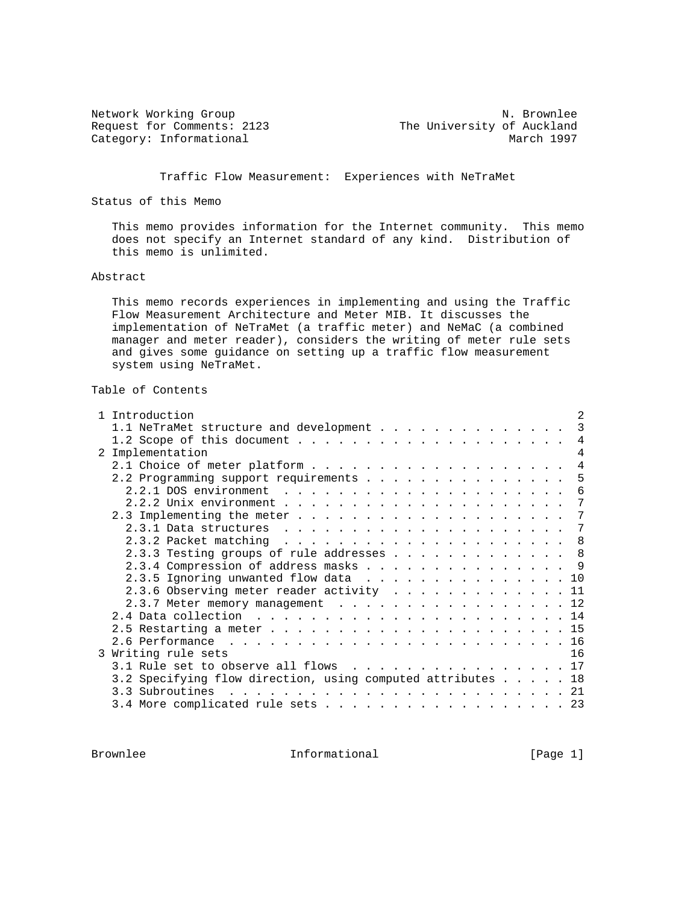Category: Informational

Network Working Group Network More of the Music Control of the Music Control of the Music Control of the Music Control of the Music Control of the Music Control of the Music Control of the Music Control of the Music Contro Request for Comments: 2123<br>
Category: Informational The University of Auckland<br>
March 1997

Traffic Flow Measurement: Experiences with NeTraMet

Status of this Memo

 This memo provides information for the Internet community. This memo does not specify an Internet standard of any kind. Distribution of this memo is unlimited.

#### Abstract

 This memo records experiences in implementing and using the Traffic Flow Measurement Architecture and Meter MIB. It discusses the implementation of NeTraMet (a traffic meter) and NeMaC (a combined manager and meter reader), considers the writing of meter rule sets and gives some guidance on setting up a traffic flow measurement system using NeTraMet.

# Table of Contents

| 1 Introduction                                                           | $\mathfrak{D}$ |
|--------------------------------------------------------------------------|----------------|
|                                                                          | $\mathcal{R}$  |
|                                                                          | 4              |
| 2 Implementation                                                         | 4              |
|                                                                          | $\overline{4}$ |
| 2.2 Programming support requirements                                     | 5              |
|                                                                          | 6              |
|                                                                          | 7              |
|                                                                          | 7              |
|                                                                          |                |
| 2.3.2 Packet matching $\ldots \ldots \ldots \ldots \ldots \ldots \ldots$ |                |
| 2.3.3 Testing groups of rule addresses 8                                 |                |
| 2.3.4 Compression of address masks 9                                     |                |
| 2.3.5 Ignoring unwanted flow data 10                                     |                |
| 2.3.6 Observing meter reader activity 11                                 |                |
| $2.3.7$ Meter memory management 12                                       |                |
|                                                                          |                |
|                                                                          |                |
|                                                                          |                |
| 3 Writing rule sets                                                      | 16             |
| 3.1 Rule set to observe all flows 17                                     |                |
| 3.2 Specifying flow direction, using computed attributes 18              |                |
|                                                                          |                |
| 3.4 More complicated rule sets 23                                        |                |

Brownlee **Informational** Informational [Page 1]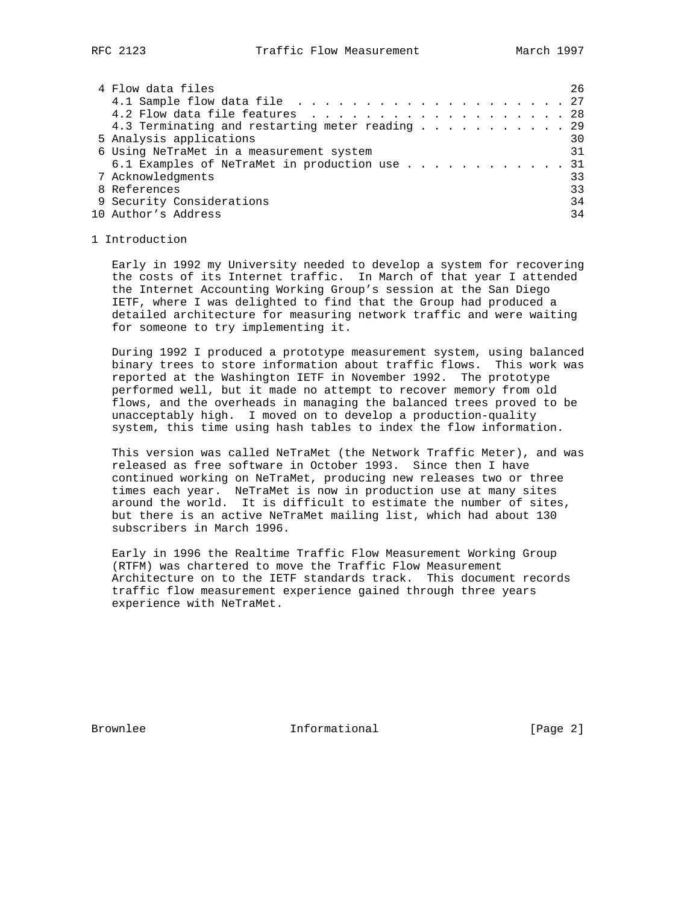| 4 Flow data files                               | 26 |
|-------------------------------------------------|----|
|                                                 |    |
| 4.2 Flow data file features 28                  |    |
| 4.3 Terminating and restarting meter reading 29 |    |
| 5 Analysis applications                         | 30 |
| 6 Using NeTraMet in a measurement system        | 31 |
| 6.1 Examples of NeTraMet in production use      | 31 |
| 7 Acknowledgments                               | 33 |
| 8 References                                    | 33 |
| 9 Security Considerations                       | 34 |
| 10 Author's Address                             | 34 |

#### 1 Introduction

 Early in 1992 my University needed to develop a system for recovering the costs of its Internet traffic. In March of that year I attended the Internet Accounting Working Group's session at the San Diego IETF, where I was delighted to find that the Group had produced a detailed architecture for measuring network traffic and were waiting for someone to try implementing it.

 During 1992 I produced a prototype measurement system, using balanced binary trees to store information about traffic flows. This work was reported at the Washington IETF in November 1992. The prototype performed well, but it made no attempt to recover memory from old flows, and the overheads in managing the balanced trees proved to be unacceptably high. I moved on to develop a production-quality system, this time using hash tables to index the flow information.

 This version was called NeTraMet (the Network Traffic Meter), and was released as free software in October 1993. Since then I have continued working on NeTraMet, producing new releases two or three times each year. NeTraMet is now in production use at many sites around the world. It is difficult to estimate the number of sites, but there is an active NeTraMet mailing list, which had about 130 subscribers in March 1996.

 Early in 1996 the Realtime Traffic Flow Measurement Working Group (RTFM) was chartered to move the Traffic Flow Measurement Architecture on to the IETF standards track. This document records traffic flow measurement experience gained through three years experience with NeTraMet.

Brownlee **Informational** Informational [Page 2]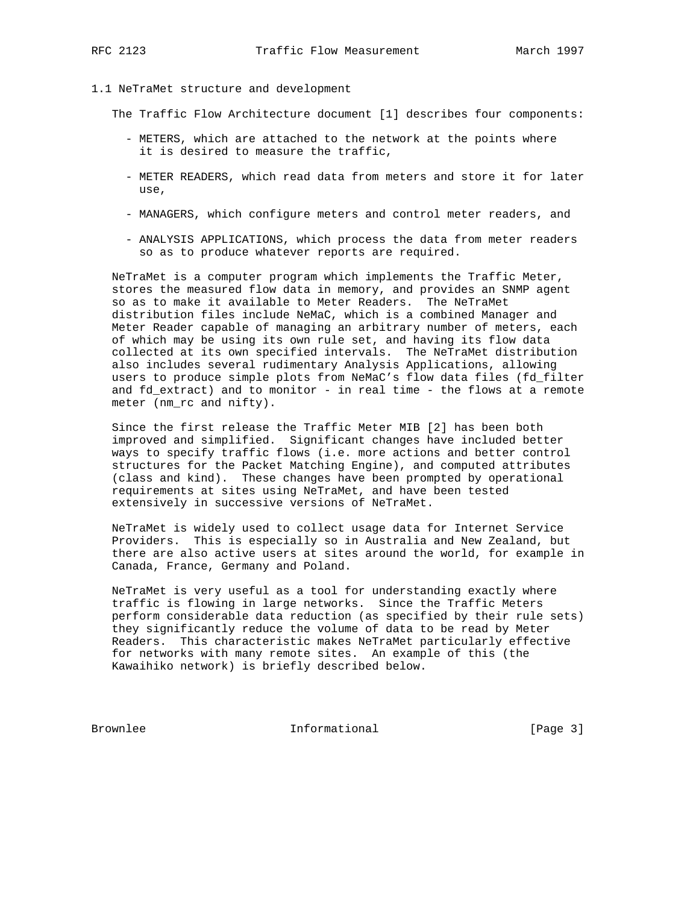#### 1.1 NeTraMet structure and development

The Traffic Flow Architecture document [1] describes four components:

- METERS, which are attached to the network at the points where it is desired to measure the traffic,
- METER READERS, which read data from meters and store it for later use,
- MANAGERS, which configure meters and control meter readers, and
- ANALYSIS APPLICATIONS, which process the data from meter readers so as to produce whatever reports are required.

 NeTraMet is a computer program which implements the Traffic Meter, stores the measured flow data in memory, and provides an SNMP agent so as to make it available to Meter Readers. The NeTraMet distribution files include NeMaC, which is a combined Manager and Meter Reader capable of managing an arbitrary number of meters, each of which may be using its own rule set, and having its flow data collected at its own specified intervals. The NeTraMet distribution also includes several rudimentary Analysis Applications, allowing users to produce simple plots from NeMaC's flow data files (fd\_filter and fd\_extract) and to monitor - in real time - the flows at a remote meter (nm\_rc and nifty).

 Since the first release the Traffic Meter MIB [2] has been both improved and simplified. Significant changes have included better ways to specify traffic flows (i.e. more actions and better control structures for the Packet Matching Engine), and computed attributes (class and kind). These changes have been prompted by operational requirements at sites using NeTraMet, and have been tested extensively in successive versions of NeTraMet.

 NeTraMet is widely used to collect usage data for Internet Service Providers. This is especially so in Australia and New Zealand, but there are also active users at sites around the world, for example in Canada, France, Germany and Poland.

 NeTraMet is very useful as a tool for understanding exactly where traffic is flowing in large networks. Since the Traffic Meters perform considerable data reduction (as specified by their rule sets) they significantly reduce the volume of data to be read by Meter Readers. This characteristic makes NeTraMet particularly effective for networks with many remote sites. An example of this (the Kawaihiko network) is briefly described below.

Brownlee Informational [Page 3]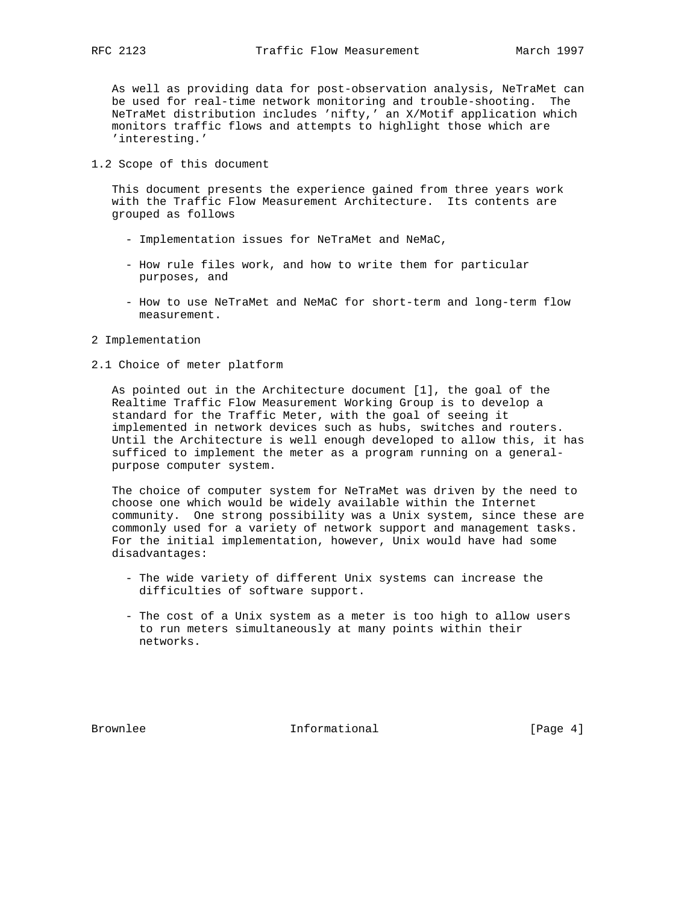As well as providing data for post-observation analysis, NeTraMet can be used for real-time network monitoring and trouble-shooting. The NeTraMet distribution includes 'nifty,' an X/Motif application which monitors traffic flows and attempts to highlight those which are 'interesting.'

1.2 Scope of this document

 This document presents the experience gained from three years work with the Traffic Flow Measurement Architecture. Its contents are grouped as follows

- Implementation issues for NeTraMet and NeMaC,
- How rule files work, and how to write them for particular purposes, and
- How to use NeTraMet and NeMaC for short-term and long-term flow measurement.
- 2 Implementation
- 2.1 Choice of meter platform

 As pointed out in the Architecture document [1], the goal of the Realtime Traffic Flow Measurement Working Group is to develop a standard for the Traffic Meter, with the goal of seeing it implemented in network devices such as hubs, switches and routers. Until the Architecture is well enough developed to allow this, it has sufficed to implement the meter as a program running on a general purpose computer system.

 The choice of computer system for NeTraMet was driven by the need to choose one which would be widely available within the Internet community. One strong possibility was a Unix system, since these are commonly used for a variety of network support and management tasks. For the initial implementation, however, Unix would have had some disadvantages:

- The wide variety of different Unix systems can increase the difficulties of software support.
- The cost of a Unix system as a meter is too high to allow users to run meters simultaneously at many points within their networks.

Brownlee **Informational** Informational [Page 4]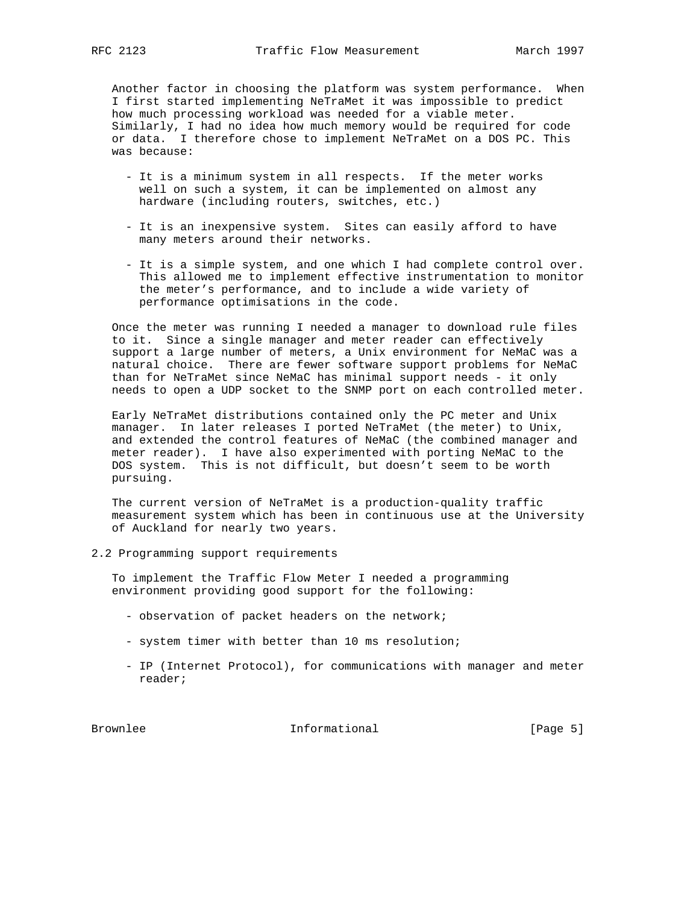Another factor in choosing the platform was system performance. When I first started implementing NeTraMet it was impossible to predict how much processing workload was needed for a viable meter. Similarly, I had no idea how much memory would be required for code or data. I therefore chose to implement NeTraMet on a DOS PC. This was because:

- It is a minimum system in all respects. If the meter works well on such a system, it can be implemented on almost any hardware (including routers, switches, etc.)
- It is an inexpensive system. Sites can easily afford to have many meters around their networks.
- It is a simple system, and one which I had complete control over. This allowed me to implement effective instrumentation to monitor the meter's performance, and to include a wide variety of performance optimisations in the code.

 Once the meter was running I needed a manager to download rule files to it. Since a single manager and meter reader can effectively support a large number of meters, a Unix environment for NeMaC was a natural choice. There are fewer software support problems for NeMaC than for NeTraMet since NeMaC has minimal support needs - it only needs to open a UDP socket to the SNMP port on each controlled meter.

 Early NeTraMet distributions contained only the PC meter and Unix manager. In later releases I ported NeTraMet (the meter) to Unix, and extended the control features of NeMaC (the combined manager and meter reader). I have also experimented with porting NeMaC to the DOS system. This is not difficult, but doesn't seem to be worth pursuing.

 The current version of NeTraMet is a production-quality traffic measurement system which has been in continuous use at the University of Auckland for nearly two years.

2.2 Programming support requirements

 To implement the Traffic Flow Meter I needed a programming environment providing good support for the following:

- observation of packet headers on the network;
- system timer with better than 10 ms resolution;
- IP (Internet Protocol), for communications with manager and meter reader;

Brownlee 10 Informational 100 Informational From The IPage 5]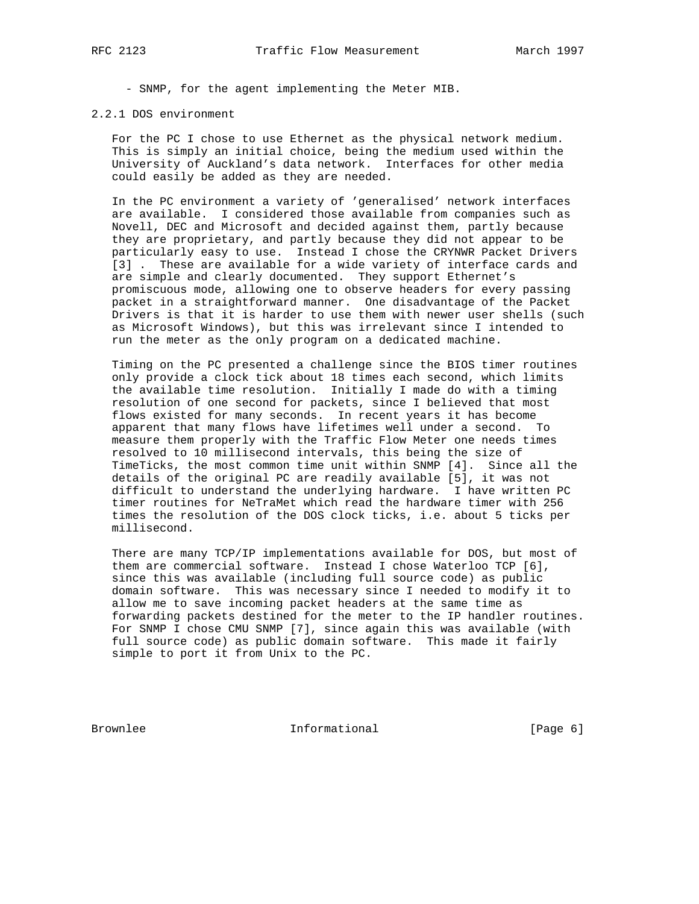- SNMP, for the agent implementing the Meter MIB.

#### 2.2.1 DOS environment

 For the PC I chose to use Ethernet as the physical network medium. This is simply an initial choice, being the medium used within the University of Auckland's data network. Interfaces for other media could easily be added as they are needed.

 In the PC environment a variety of 'generalised' network interfaces are available. I considered those available from companies such as Novell, DEC and Microsoft and decided against them, partly because they are proprietary, and partly because they did not appear to be particularly easy to use. Instead I chose the CRYNWR Packet Drivers [3] . These are available for a wide variety of interface cards and are simple and clearly documented. They support Ethernet's promiscuous mode, allowing one to observe headers for every passing packet in a straightforward manner. One disadvantage of the Packet Drivers is that it is harder to use them with newer user shells (such as Microsoft Windows), but this was irrelevant since I intended to run the meter as the only program on a dedicated machine.

 Timing on the PC presented a challenge since the BIOS timer routines only provide a clock tick about 18 times each second, which limits the available time resolution. Initially I made do with a timing resolution of one second for packets, since I believed that most flows existed for many seconds. In recent years it has become apparent that many flows have lifetimes well under a second. To measure them properly with the Traffic Flow Meter one needs times resolved to 10 millisecond intervals, this being the size of TimeTicks, the most common time unit within SNMP [4]. Since all the details of the original PC are readily available [5], it was not difficult to understand the underlying hardware. I have written PC timer routines for NeTraMet which read the hardware timer with 256 times the resolution of the DOS clock ticks, i.e. about 5 ticks per millisecond.

 There are many TCP/IP implementations available for DOS, but most of them are commercial software. Instead I chose Waterloo TCP [6], since this was available (including full source code) as public domain software. This was necessary since I needed to modify it to allow me to save incoming packet headers at the same time as forwarding packets destined for the meter to the IP handler routines. For SNMP I chose CMU SNMP [7], since again this was available (with full source code) as public domain software. This made it fairly simple to port it from Unix to the PC.

Brownlee **Informational** Informational [Page 6]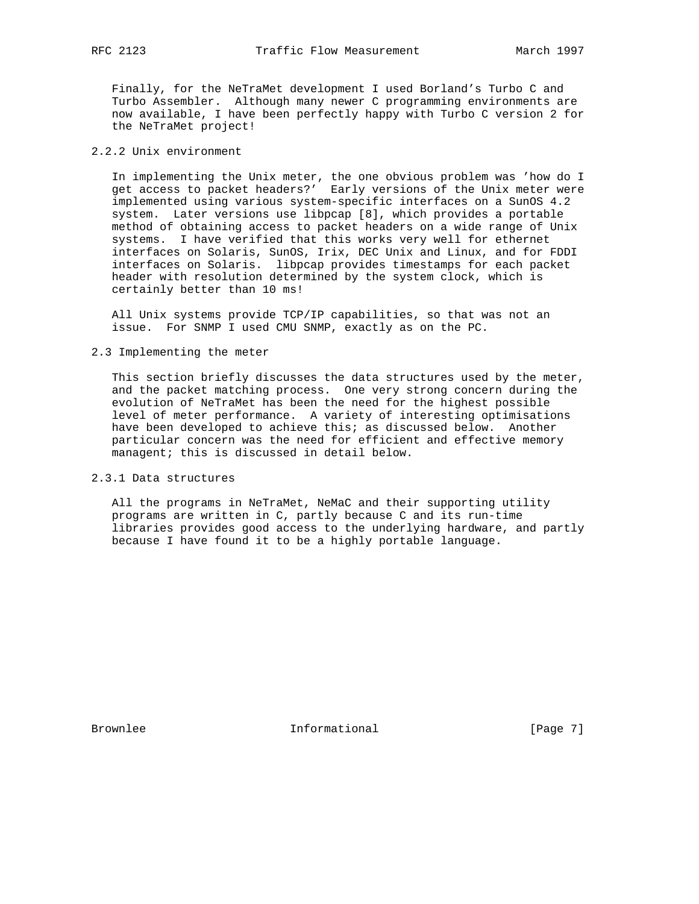Finally, for the NeTraMet development I used Borland's Turbo C and Turbo Assembler. Although many newer C programming environments are now available, I have been perfectly happy with Turbo C version 2 for the NeTraMet project!

# 2.2.2 Unix environment

 In implementing the Unix meter, the one obvious problem was 'how do I get access to packet headers?' Early versions of the Unix meter were implemented using various system-specific interfaces on a SunOS 4.2 system. Later versions use libpcap [8], which provides a portable method of obtaining access to packet headers on a wide range of Unix systems. I have verified that this works very well for ethernet interfaces on Solaris, SunOS, Irix, DEC Unix and Linux, and for FDDI interfaces on Solaris. libpcap provides timestamps for each packet header with resolution determined by the system clock, which is certainly better than 10 ms!

 All Unix systems provide TCP/IP capabilities, so that was not an issue. For SNMP I used CMU SNMP, exactly as on the PC.

2.3 Implementing the meter

 This section briefly discusses the data structures used by the meter, and the packet matching process. One very strong concern during the evolution of NeTraMet has been the need for the highest possible level of meter performance. A variety of interesting optimisations have been developed to achieve this; as discussed below. Another particular concern was the need for efficient and effective memory managent; this is discussed in detail below.

2.3.1 Data structures

 All the programs in NeTraMet, NeMaC and their supporting utility programs are written in C, partly because C and its run-time libraries provides good access to the underlying hardware, and partly because I have found it to be a highly portable language.

Brownlee **Informational** Informational [Page 7]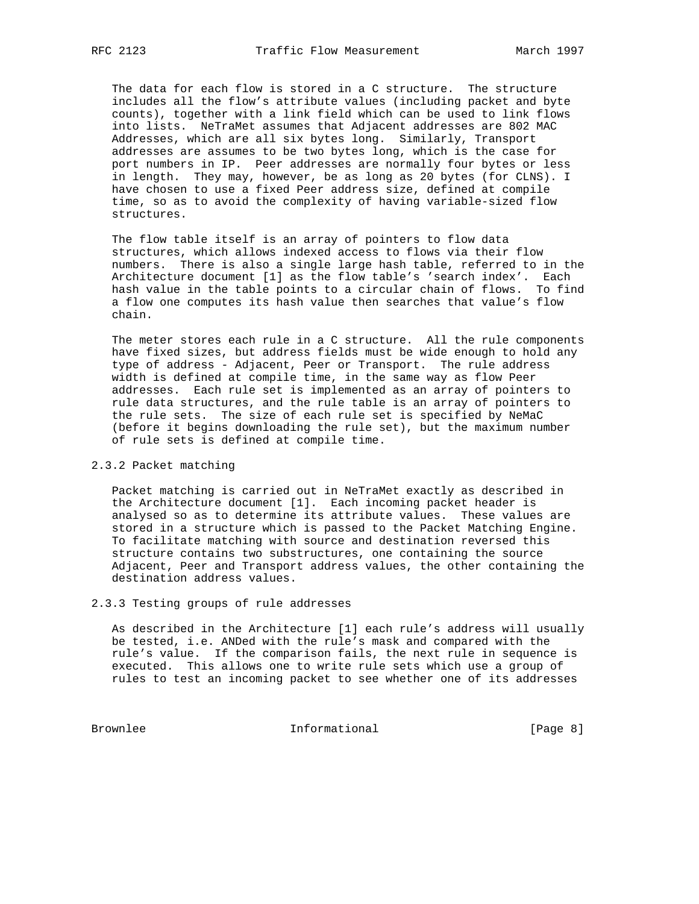The data for each flow is stored in a C structure. The structure includes all the flow's attribute values (including packet and byte counts), together with a link field which can be used to link flows into lists. NeTraMet assumes that Adjacent addresses are 802 MAC Addresses, which are all six bytes long. Similarly, Transport addresses are assumes to be two bytes long, which is the case for port numbers in IP. Peer addresses are normally four bytes or less in length. They may, however, be as long as 20 bytes (for CLNS). I have chosen to use a fixed Peer address size, defined at compile time, so as to avoid the complexity of having variable-sized flow structures.

 The flow table itself is an array of pointers to flow data structures, which allows indexed access to flows via their flow numbers. There is also a single large hash table, referred to in the Architecture document [1] as the flow table's 'search index'. Each hash value in the table points to a circular chain of flows. To find a flow one computes its hash value then searches that value's flow chain.

 The meter stores each rule in a C structure. All the rule components have fixed sizes, but address fields must be wide enough to hold any type of address - Adjacent, Peer or Transport. The rule address width is defined at compile time, in the same way as flow Peer addresses. Each rule set is implemented as an array of pointers to rule data structures, and the rule table is an array of pointers to the rule sets. The size of each rule set is specified by NeMaC (before it begins downloading the rule set), but the maximum number of rule sets is defined at compile time.

## 2.3.2 Packet matching

 Packet matching is carried out in NeTraMet exactly as described in the Architecture document [1]. Each incoming packet header is analysed so as to determine its attribute values. These values are stored in a structure which is passed to the Packet Matching Engine. To facilitate matching with source and destination reversed this structure contains two substructures, one containing the source Adjacent, Peer and Transport address values, the other containing the destination address values.

2.3.3 Testing groups of rule addresses

 As described in the Architecture [1] each rule's address will usually be tested, i.e. ANDed with the rule's mask and compared with the rule's value. If the comparison fails, the next rule in sequence is executed. This allows one to write rule sets which use a group of rules to test an incoming packet to see whether one of its addresses

Brownlee Informational [Page 8]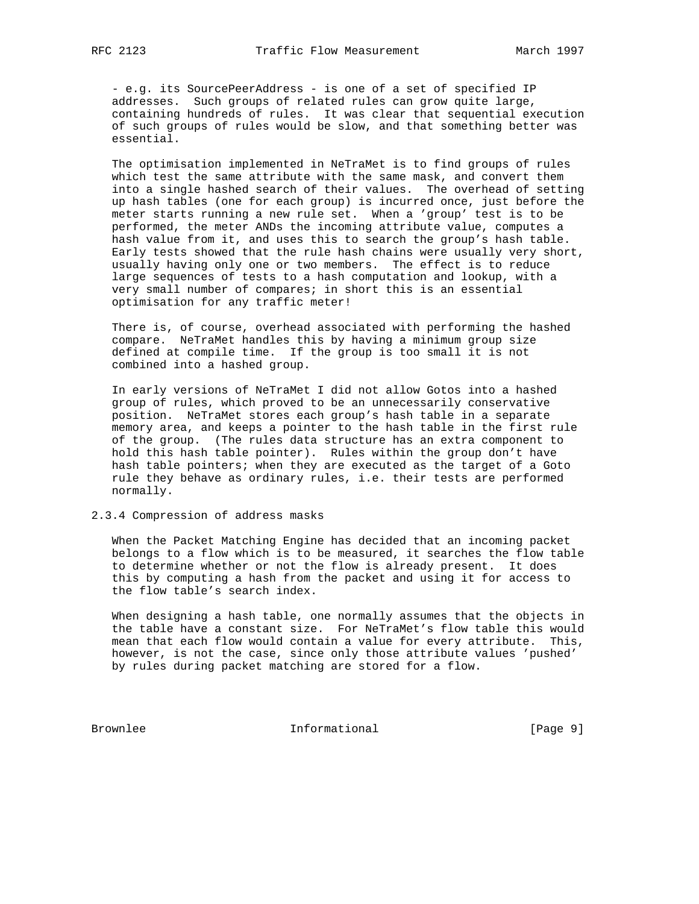- e.g. its SourcePeerAddress - is one of a set of specified IP addresses. Such groups of related rules can grow quite large, containing hundreds of rules. It was clear that sequential execution of such groups of rules would be slow, and that something better was essential.

 The optimisation implemented in NeTraMet is to find groups of rules which test the same attribute with the same mask, and convert them into a single hashed search of their values. The overhead of setting up hash tables (one for each group) is incurred once, just before the meter starts running a new rule set. When a 'group' test is to be performed, the meter ANDs the incoming attribute value, computes a hash value from it, and uses this to search the group's hash table. Early tests showed that the rule hash chains were usually very short, usually having only one or two members. The effect is to reduce large sequences of tests to a hash computation and lookup, with a very small number of compares; in short this is an essential optimisation for any traffic meter!

 There is, of course, overhead associated with performing the hashed compare. NeTraMet handles this by having a minimum group size defined at compile time. If the group is too small it is not combined into a hashed group.

 In early versions of NeTraMet I did not allow Gotos into a hashed group of rules, which proved to be an unnecessarily conservative position. NeTraMet stores each group's hash table in a separate memory area, and keeps a pointer to the hash table in the first rule of the group. (The rules data structure has an extra component to hold this hash table pointer). Rules within the group don't have hash table pointers; when they are executed as the target of a Goto rule they behave as ordinary rules, i.e. their tests are performed normally.

#### 2.3.4 Compression of address masks

 When the Packet Matching Engine has decided that an incoming packet belongs to a flow which is to be measured, it searches the flow table to determine whether or not the flow is already present. It does this by computing a hash from the packet and using it for access to the flow table's search index.

 When designing a hash table, one normally assumes that the objects in the table have a constant size. For NeTraMet's flow table this would mean that each flow would contain a value for every attribute. This, however, is not the case, since only those attribute values 'pushed' by rules during packet matching are stored for a flow.

Brownlee Informational [Page 9]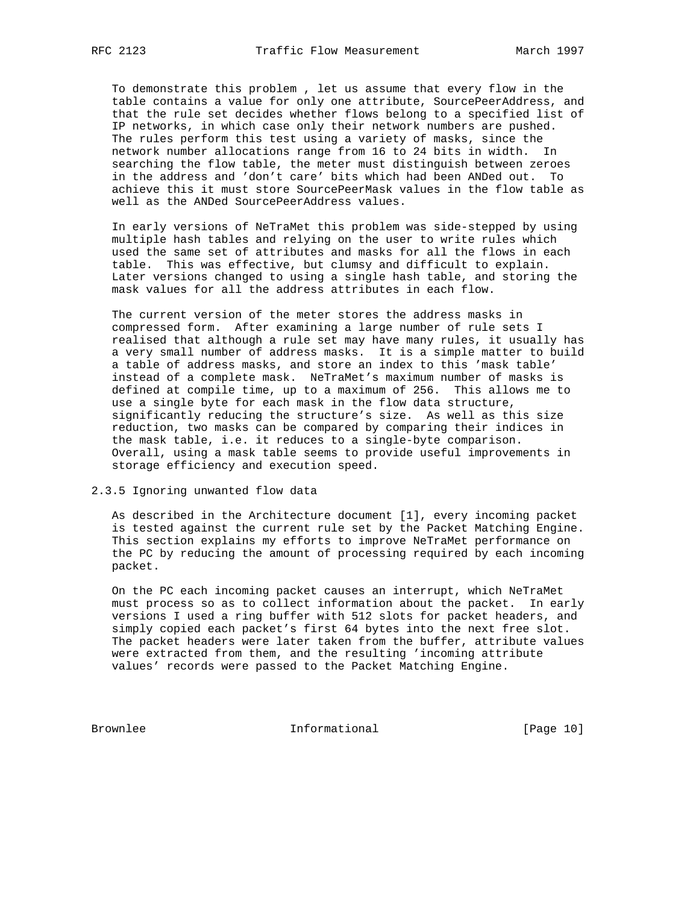To demonstrate this problem , let us assume that every flow in the table contains a value for only one attribute, SourcePeerAddress, and that the rule set decides whether flows belong to a specified list of IP networks, in which case only their network numbers are pushed. The rules perform this test using a variety of masks, since the network number allocations range from 16 to 24 bits in width. In searching the flow table, the meter must distinguish between zeroes in the address and 'don't care' bits which had been ANDed out. To achieve this it must store SourcePeerMask values in the flow table as well as the ANDed SourcePeerAddress values.

 In early versions of NeTraMet this problem was side-stepped by using multiple hash tables and relying on the user to write rules which used the same set of attributes and masks for all the flows in each table. This was effective, but clumsy and difficult to explain. Later versions changed to using a single hash table, and storing the mask values for all the address attributes in each flow.

 The current version of the meter stores the address masks in compressed form. After examining a large number of rule sets I realised that although a rule set may have many rules, it usually has a very small number of address masks. It is a simple matter to build a table of address masks, and store an index to this 'mask table' instead of a complete mask. NeTraMet's maximum number of masks is defined at compile time, up to a maximum of 256. This allows me to use a single byte for each mask in the flow data structure, significantly reducing the structure's size. As well as this size reduction, two masks can be compared by comparing their indices in the mask table, i.e. it reduces to a single-byte comparison. Overall, using a mask table seems to provide useful improvements in storage efficiency and execution speed.

2.3.5 Ignoring unwanted flow data

 As described in the Architecture document [1], every incoming packet is tested against the current rule set by the Packet Matching Engine. This section explains my efforts to improve NeTraMet performance on the PC by reducing the amount of processing required by each incoming packet.

 On the PC each incoming packet causes an interrupt, which NeTraMet must process so as to collect information about the packet. In early versions I used a ring buffer with 512 slots for packet headers, and simply copied each packet's first 64 bytes into the next free slot. The packet headers were later taken from the buffer, attribute values were extracted from them, and the resulting 'incoming attribute values' records were passed to the Packet Matching Engine.

Brownlee Informational [Page 10]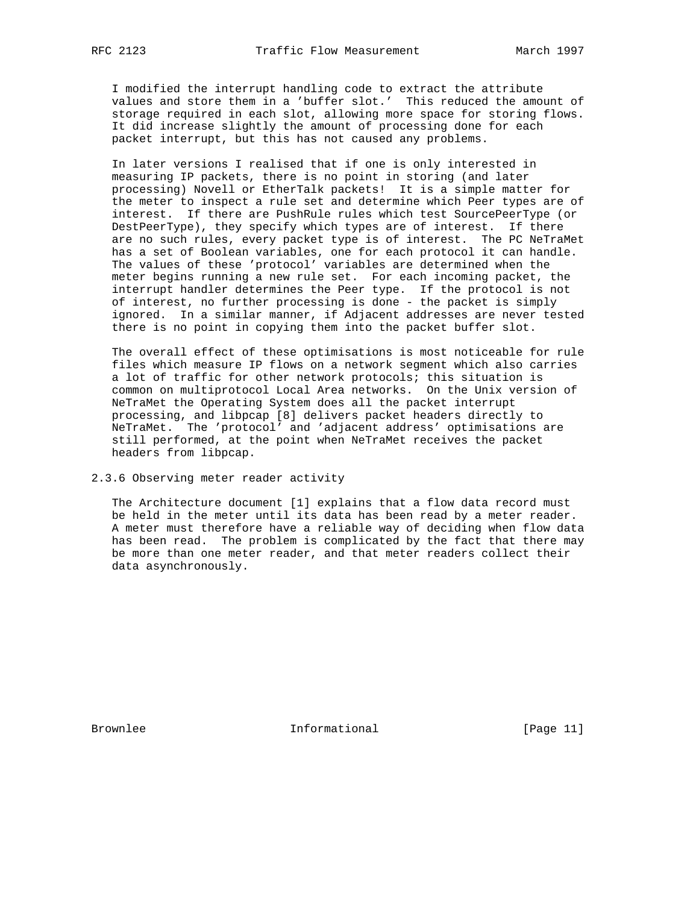I modified the interrupt handling code to extract the attribute values and store them in a 'buffer slot.' This reduced the amount of storage required in each slot, allowing more space for storing flows. It did increase slightly the amount of processing done for each packet interrupt, but this has not caused any problems.

 In later versions I realised that if one is only interested in measuring IP packets, there is no point in storing (and later processing) Novell or EtherTalk packets! It is a simple matter for the meter to inspect a rule set and determine which Peer types are of interest. If there are PushRule rules which test SourcePeerType (or DestPeerType), they specify which types are of interest. If there are no such rules, every packet type is of interest. The PC NeTraMet has a set of Boolean variables, one for each protocol it can handle. The values of these 'protocol' variables are determined when the meter begins running a new rule set. For each incoming packet, the interrupt handler determines the Peer type. If the protocol is not of interest, no further processing is done - the packet is simply ignored. In a similar manner, if Adjacent addresses are never tested there is no point in copying them into the packet buffer slot.

 The overall effect of these optimisations is most noticeable for rule files which measure IP flows on a network segment which also carries a lot of traffic for other network protocols; this situation is common on multiprotocol Local Area networks. On the Unix version of NeTraMet the Operating System does all the packet interrupt processing, and libpcap [8] delivers packet headers directly to NeTraMet. The 'protocol' and 'adjacent address' optimisations are still performed, at the point when NeTraMet receives the packet headers from libpcap.

2.3.6 Observing meter reader activity

 The Architecture document [1] explains that a flow data record must be held in the meter until its data has been read by a meter reader. A meter must therefore have a reliable way of deciding when flow data has been read. The problem is complicated by the fact that there may be more than one meter reader, and that meter readers collect their data asynchronously.

Brownlee **Informational** Informational [Page 11]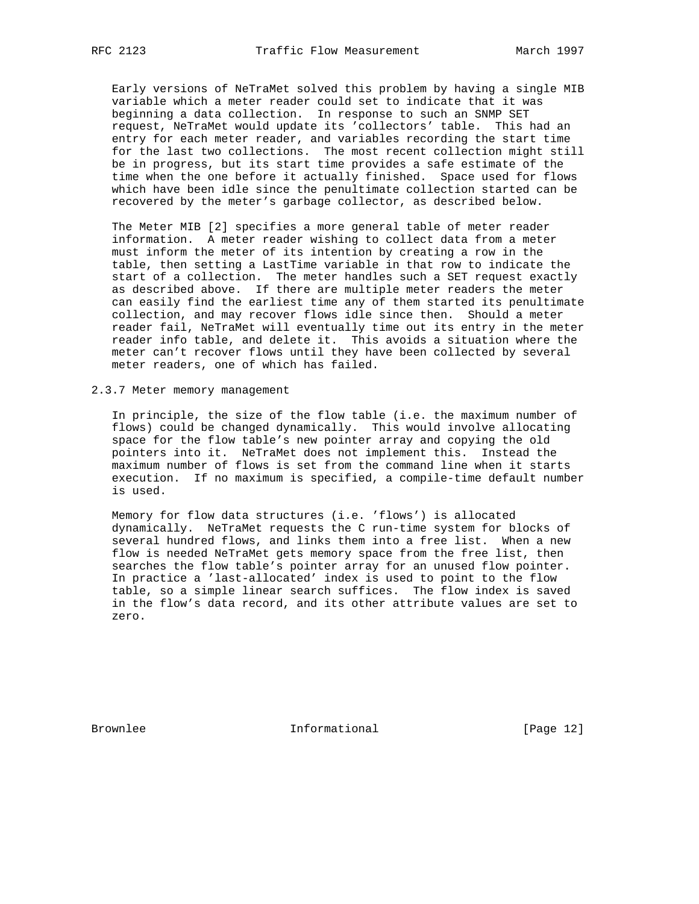Early versions of NeTraMet solved this problem by having a single MIB variable which a meter reader could set to indicate that it was beginning a data collection. In response to such an SNMP SET request, NeTraMet would update its 'collectors' table. This had an entry for each meter reader, and variables recording the start time for the last two collections. The most recent collection might still be in progress, but its start time provides a safe estimate of the time when the one before it actually finished. Space used for flows which have been idle since the penultimate collection started can be recovered by the meter's garbage collector, as described below.

 The Meter MIB [2] specifies a more general table of meter reader information. A meter reader wishing to collect data from a meter must inform the meter of its intention by creating a row in the table, then setting a LastTime variable in that row to indicate the start of a collection. The meter handles such a SET request exactly as described above. If there are multiple meter readers the meter can easily find the earliest time any of them started its penultimate collection, and may recover flows idle since then. Should a meter reader fail, NeTraMet will eventually time out its entry in the meter reader info table, and delete it. This avoids a situation where the meter can't recover flows until they have been collected by several meter readers, one of which has failed.

2.3.7 Meter memory management

 In principle, the size of the flow table (i.e. the maximum number of flows) could be changed dynamically. This would involve allocating space for the flow table's new pointer array and copying the old pointers into it. NeTraMet does not implement this. Instead the maximum number of flows is set from the command line when it starts execution. If no maximum is specified, a compile-time default number is used.

 Memory for flow data structures (i.e. 'flows') is allocated dynamically. NeTraMet requests the C run-time system for blocks of several hundred flows, and links them into a free list. When a new flow is needed NeTraMet gets memory space from the free list, then searches the flow table's pointer array for an unused flow pointer. In practice a 'last-allocated' index is used to point to the flow table, so a simple linear search suffices. The flow index is saved in the flow's data record, and its other attribute values are set to zero.

Brownlee **Informational** Informational [Page 12]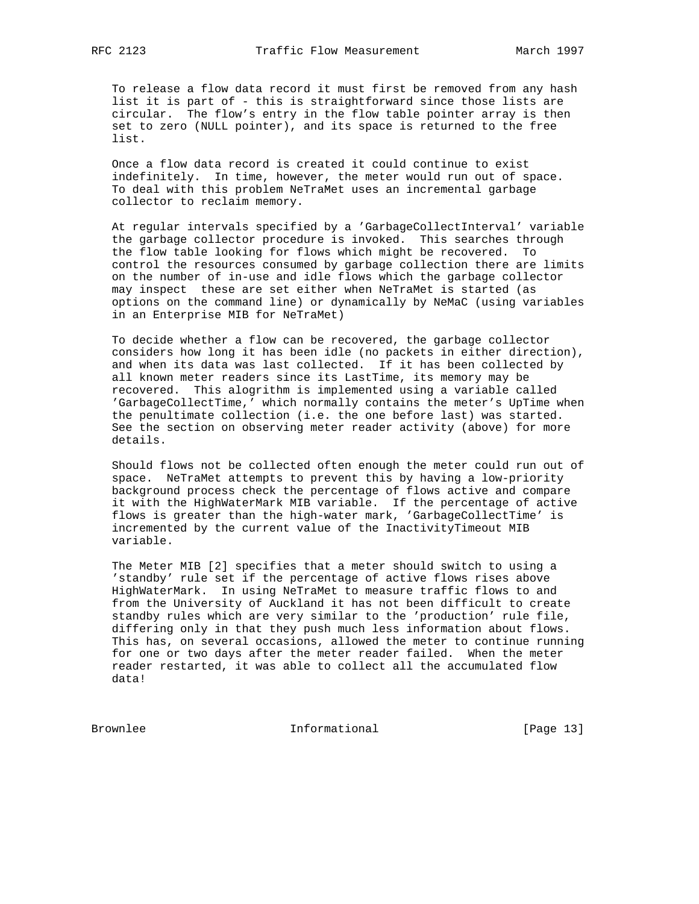To release a flow data record it must first be removed from any hash list it is part of - this is straightforward since those lists are circular. The flow's entry in the flow table pointer array is then set to zero (NULL pointer), and its space is returned to the free list.

 Once a flow data record is created it could continue to exist indefinitely. In time, however, the meter would run out of space. To deal with this problem NeTraMet uses an incremental garbage collector to reclaim memory.

 At regular intervals specified by a 'GarbageCollectInterval' variable the garbage collector procedure is invoked. This searches through the flow table looking for flows which might be recovered. To control the resources consumed by garbage collection there are limits on the number of in-use and idle flows which the garbage collector may inspect these are set either when NeTraMet is started (as options on the command line) or dynamically by NeMaC (using variables in an Enterprise MIB for NeTraMet)

 To decide whether a flow can be recovered, the garbage collector considers how long it has been idle (no packets in either direction), and when its data was last collected. If it has been collected by all known meter readers since its LastTime, its memory may be recovered. This alogrithm is implemented using a variable called 'GarbageCollectTime,' which normally contains the meter's UpTime when the penultimate collection (i.e. the one before last) was started. See the section on observing meter reader activity (above) for more details.

 Should flows not be collected often enough the meter could run out of space. NeTraMet attempts to prevent this by having a low-priority background process check the percentage of flows active and compare it with the HighWaterMark MIB variable. If the percentage of active flows is greater than the high-water mark, 'GarbageCollectTime' is incremented by the current value of the InactivityTimeout MIB variable.

 The Meter MIB [2] specifies that a meter should switch to using a 'standby' rule set if the percentage of active flows rises above HighWaterMark. In using NeTraMet to measure traffic flows to and from the University of Auckland it has not been difficult to create standby rules which are very similar to the 'production' rule file, differing only in that they push much less information about flows. This has, on several occasions, allowed the meter to continue running for one or two days after the meter reader failed. When the meter reader restarted, it was able to collect all the accumulated flow data!

Brownlee Informational [Page 13]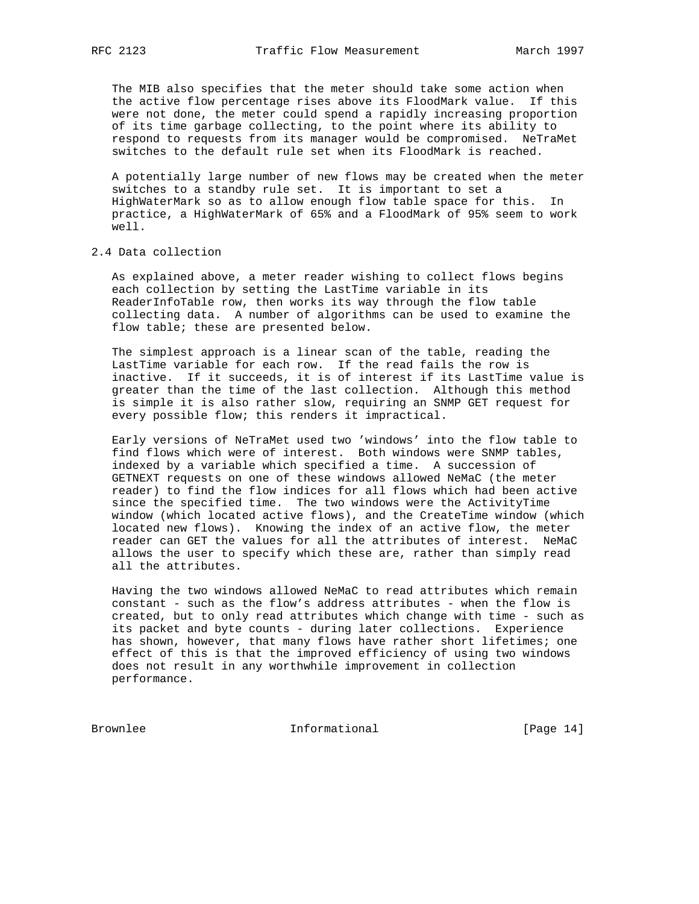The MIB also specifies that the meter should take some action when the active flow percentage rises above its FloodMark value. If this were not done, the meter could spend a rapidly increasing proportion of its time garbage collecting, to the point where its ability to respond to requests from its manager would be compromised. NeTraMet switches to the default rule set when its FloodMark is reached.

 A potentially large number of new flows may be created when the meter switches to a standby rule set. It is important to set a HighWaterMark so as to allow enough flow table space for this. In practice, a HighWaterMark of 65% and a FloodMark of 95% seem to work well.

2.4 Data collection

 As explained above, a meter reader wishing to collect flows begins each collection by setting the LastTime variable in its ReaderInfoTable row, then works its way through the flow table collecting data. A number of algorithms can be used to examine the flow table; these are presented below.

 The simplest approach is a linear scan of the table, reading the LastTime variable for each row. If the read fails the row is inactive. If it succeeds, it is of interest if its LastTime value is greater than the time of the last collection. Although this method is simple it is also rather slow, requiring an SNMP GET request for every possible flow; this renders it impractical.

 Early versions of NeTraMet used two 'windows' into the flow table to find flows which were of interest. Both windows were SNMP tables, indexed by a variable which specified a time. A succession of GETNEXT requests on one of these windows allowed NeMaC (the meter reader) to find the flow indices for all flows which had been active since the specified time. The two windows were the ActivityTime window (which located active flows), and the CreateTime window (which located new flows). Knowing the index of an active flow, the meter reader can GET the values for all the attributes of interest. NeMaC allows the user to specify which these are, rather than simply read all the attributes.

 Having the two windows allowed NeMaC to read attributes which remain constant - such as the flow's address attributes - when the flow is created, but to only read attributes which change with time - such as its packet and byte counts - during later collections. Experience has shown, however, that many flows have rather short lifetimes; one effect of this is that the improved efficiency of using two windows does not result in any worthwhile improvement in collection performance.

Brownlee Informational [Page 14]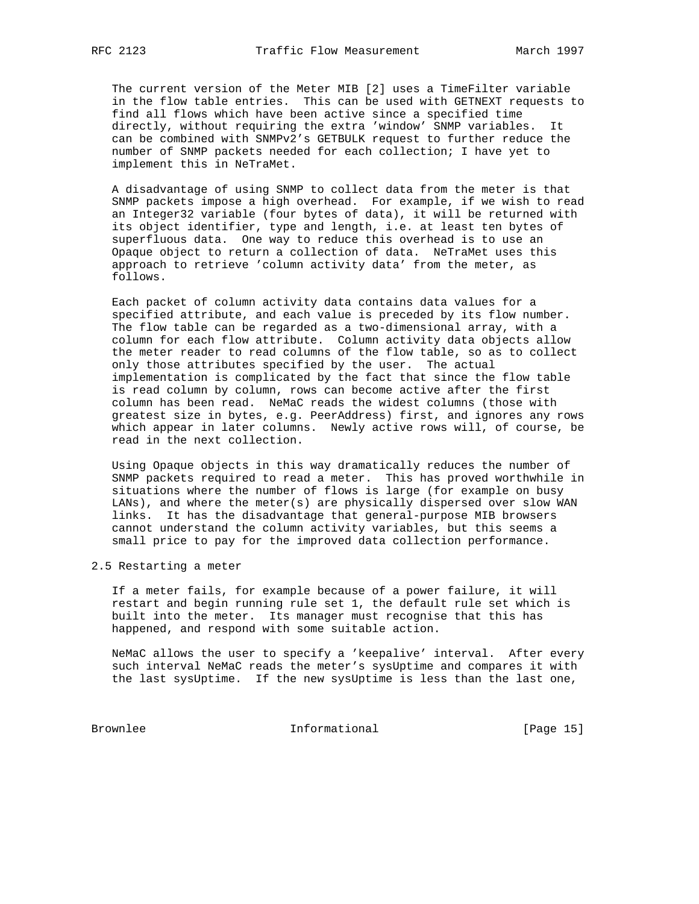The current version of the Meter MIB [2] uses a TimeFilter variable in the flow table entries. This can be used with GETNEXT requests to find all flows which have been active since a specified time directly, without requiring the extra 'window' SNMP variables. It can be combined with SNMPv2's GETBULK request to further reduce the number of SNMP packets needed for each collection; I have yet to implement this in NeTraMet.

 A disadvantage of using SNMP to collect data from the meter is that SNMP packets impose a high overhead. For example, if we wish to read an Integer32 variable (four bytes of data), it will be returned with its object identifier, type and length, i.e. at least ten bytes of superfluous data. One way to reduce this overhead is to use an Opaque object to return a collection of data. NeTraMet uses this approach to retrieve 'column activity data' from the meter, as follows.

 Each packet of column activity data contains data values for a specified attribute, and each value is preceded by its flow number. The flow table can be regarded as a two-dimensional array, with a column for each flow attribute. Column activity data objects allow the meter reader to read columns of the flow table, so as to collect only those attributes specified by the user. The actual implementation is complicated by the fact that since the flow table is read column by column, rows can become active after the first column has been read. NeMaC reads the widest columns (those with greatest size in bytes, e.g. PeerAddress) first, and ignores any rows which appear in later columns. Newly active rows will, of course, be read in the next collection.

 Using Opaque objects in this way dramatically reduces the number of SNMP packets required to read a meter. This has proved worthwhile in situations where the number of flows is large (for example on busy LANs), and where the meter(s) are physically dispersed over slow WAN links. It has the disadvantage that general-purpose MIB browsers cannot understand the column activity variables, but this seems a small price to pay for the improved data collection performance.

2.5 Restarting a meter

 If a meter fails, for example because of a power failure, it will restart and begin running rule set 1, the default rule set which is built into the meter. Its manager must recognise that this has happened, and respond with some suitable action.

 NeMaC allows the user to specify a 'keepalive' interval. After every such interval NeMaC reads the meter's sysUptime and compares it with the last sysUptime. If the new sysUptime is less than the last one,

Brownlee Informational [Page 15]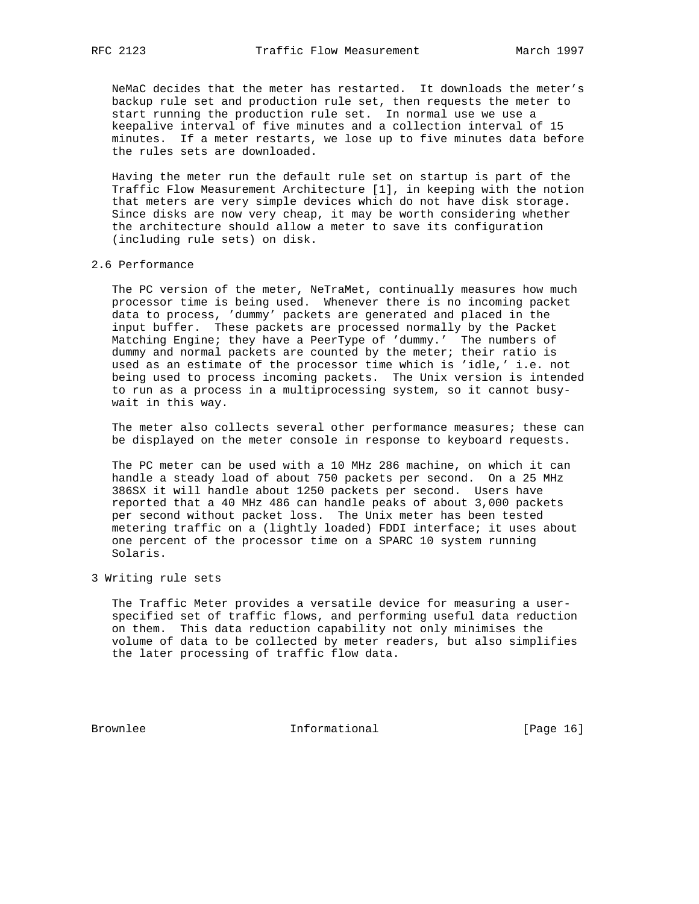NeMaC decides that the meter has restarted. It downloads the meter's backup rule set and production rule set, then requests the meter to start running the production rule set. In normal use we use a keepalive interval of five minutes and a collection interval of 15 minutes. If a meter restarts, we lose up to five minutes data before the rules sets are downloaded.

 Having the meter run the default rule set on startup is part of the Traffic Flow Measurement Architecture [1], in keeping with the notion that meters are very simple devices which do not have disk storage. Since disks are now very cheap, it may be worth considering whether the architecture should allow a meter to save its configuration (including rule sets) on disk.

#### 2.6 Performance

 The PC version of the meter, NeTraMet, continually measures how much processor time is being used. Whenever there is no incoming packet data to process, 'dummy' packets are generated and placed in the input buffer. These packets are processed normally by the Packet Matching Engine; they have a PeerType of 'dummy.' The numbers of dummy and normal packets are counted by the meter; their ratio is used as an estimate of the processor time which is 'idle,' i.e. not being used to process incoming packets. The Unix version is intended to run as a process in a multiprocessing system, so it cannot busy wait in this way.

 The meter also collects several other performance measures; these can be displayed on the meter console in response to keyboard requests.

 The PC meter can be used with a 10 MHz 286 machine, on which it can handle a steady load of about 750 packets per second. On a 25 MHz 386SX it will handle about 1250 packets per second. Users have reported that a 40 MHz 486 can handle peaks of about 3,000 packets per second without packet loss. The Unix meter has been tested metering traffic on a (lightly loaded) FDDI interface; it uses about one percent of the processor time on a SPARC 10 system running Solaris.

## 3 Writing rule sets

 The Traffic Meter provides a versatile device for measuring a user specified set of traffic flows, and performing useful data reduction on them. This data reduction capability not only minimises the volume of data to be collected by meter readers, but also simplifies the later processing of traffic flow data.

Brownlee Informational [Page 16]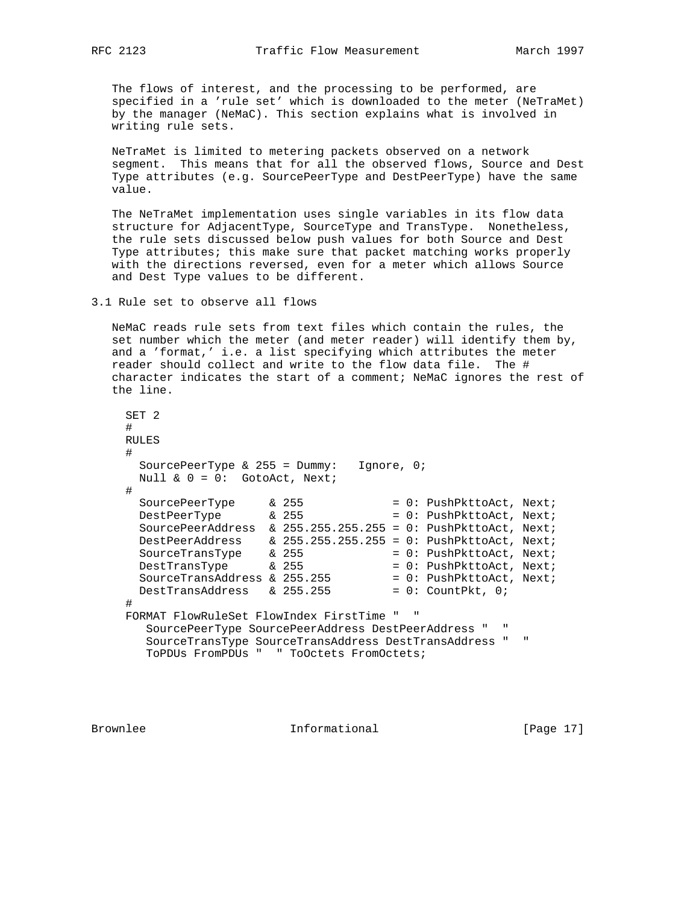The flows of interest, and the processing to be performed, are specified in a 'rule set' which is downloaded to the meter (NeTraMet) by the manager (NeMaC). This section explains what is involved in writing rule sets.

 NeTraMet is limited to metering packets observed on a network segment. This means that for all the observed flows, Source and Dest Type attributes (e.g. SourcePeerType and DestPeerType) have the same value.

 The NeTraMet implementation uses single variables in its flow data structure for AdjacentType, SourceType and TransType. Nonetheless, the rule sets discussed below push values for both Source and Dest Type attributes; this make sure that packet matching works properly with the directions reversed, even for a meter which allows Source and Dest Type values to be different.

3.1 Rule set to observe all flows

 NeMaC reads rule sets from text files which contain the rules, the set number which the meter (and meter reader) will identify them by, and a 'format,' i.e. a list specifying which attributes the meter reader should collect and write to the flow data file. The # character indicates the start of a comment; NeMaC ignores the rest of the line.

```
 SET 2
     #
     RULES
     #
     SourcePeerType & 255 = Dummy: Ignore, 0;
     Null \& 0 = 0: GotoAct, Next;
     #
SourcePeerType & 255 = 0: PushPkttoAct, Next;
DestPeerType \& 255 \qquad \qquad = 0: \text{PushPkttoAct}, \text{Next}; SourcePeerAddress & 255.255.255.255 = 0: PushPkttoAct, Next;
 DestPeerAddress & 255.255.255.255 = 0: PushPkttoAct, Next;
SourceTransType & 255 = 0: PushPkttoAct, Next;
\text{DestTransType} & 255 = 0: \text{PushPkttoAct}, \text{Next};SourceTransAddress & 255.255 = 0: PushPkttoAct, Next;
DestTransAddress & 255.255 = 0: CountPkt, 0;
     #
     FORMAT FlowRuleSet FlowIndex FirstTime " "
       SourcePeerType SourcePeerAddress DestPeerAddress " "
       SourceTransType SourceTransAddress DestTransAddress " "
       ToPDUs FromPDUs " " ToOctets FromOctets;
```
Brownlee **Informational** [Page 17]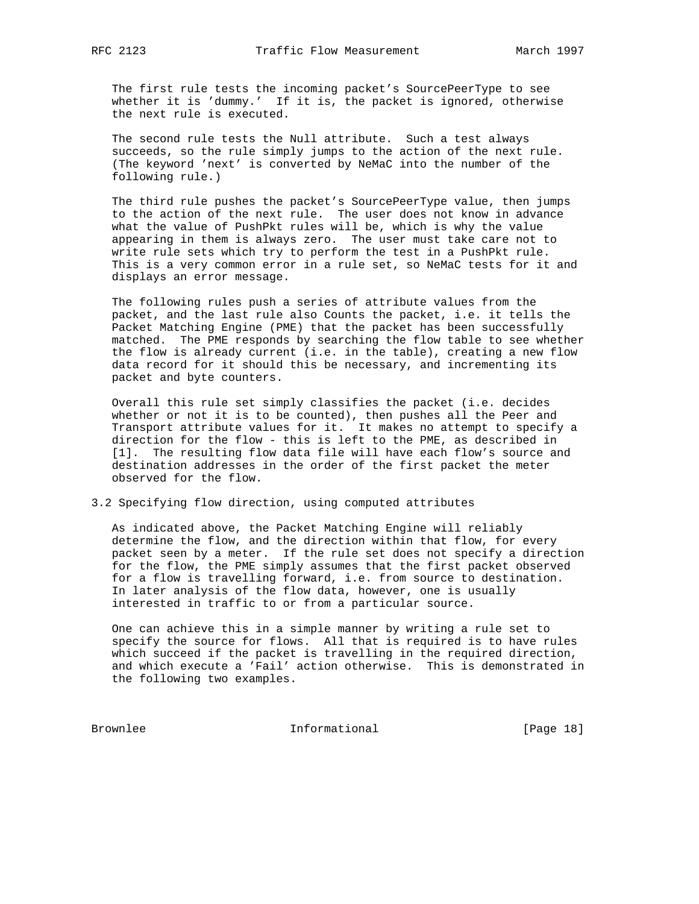The first rule tests the incoming packet's SourcePeerType to see whether it is 'dummy.' If it is, the packet is ignored, otherwise the next rule is executed.

 The second rule tests the Null attribute. Such a test always succeeds, so the rule simply jumps to the action of the next rule. (The keyword 'next' is converted by NeMaC into the number of the following rule.)

 The third rule pushes the packet's SourcePeerType value, then jumps to the action of the next rule. The user does not know in advance what the value of PushPkt rules will be, which is why the value appearing in them is always zero. The user must take care not to write rule sets which try to perform the test in a PushPkt rule. This is a very common error in a rule set, so NeMaC tests for it and displays an error message.

 The following rules push a series of attribute values from the packet, and the last rule also Counts the packet, i.e. it tells the Packet Matching Engine (PME) that the packet has been successfully matched. The PME responds by searching the flow table to see whether the flow is already current (i.e. in the table), creating a new flow data record for it should this be necessary, and incrementing its packet and byte counters.

 Overall this rule set simply classifies the packet (i.e. decides whether or not it is to be counted), then pushes all the Peer and Transport attribute values for it. It makes no attempt to specify a direction for the flow - this is left to the PME, as described in [1]. The resulting flow data file will have each flow's source and destination addresses in the order of the first packet the meter observed for the flow.

# 3.2 Specifying flow direction, using computed attributes

 As indicated above, the Packet Matching Engine will reliably determine the flow, and the direction within that flow, for every packet seen by a meter. If the rule set does not specify a direction for the flow, the PME simply assumes that the first packet observed for a flow is travelling forward, i.e. from source to destination. In later analysis of the flow data, however, one is usually interested in traffic to or from a particular source.

 One can achieve this in a simple manner by writing a rule set to specify the source for flows. All that is required is to have rules which succeed if the packet is travelling in the required direction, and which execute a 'Fail' action otherwise. This is demonstrated in the following two examples.

Brownlee Informational [Page 18]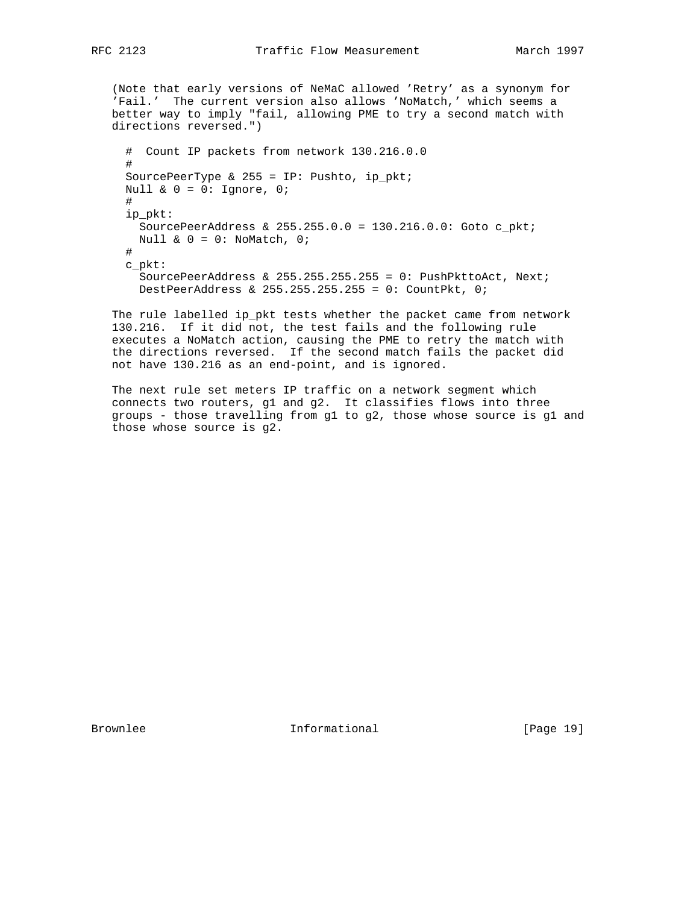(Note that early versions of NeMaC allowed 'Retry' as a synonym for 'Fail.' The current version also allows 'NoMatch,' which seems a better way to imply "fail, allowing PME to try a second match with directions reversed.") # Count IP packets from network 130.216.0.0 # SourcePeerType &  $255 = IP: Pushto, ip_pkt;$ Null &  $0 = 0$ : Ignore, 0; # ip\_pkt: SourcePeerAddress & 255.255.0.0 = 130.216.0.0: Goto c\_pkt; Null  $\& 0 = 0:$  NoMatch, 0; # c\_pkt: SourcePeerAddress & 255.255.255.255 =  $0:$  PushPkttoAct, Next; DestPeerAddress & 255.255.255.255 = 0: CountPkt, 0;

 The rule labelled ip\_pkt tests whether the packet came from network 130.216. If it did not, the test fails and the following rule executes a NoMatch action, causing the PME to retry the match with the directions reversed. If the second match fails the packet did not have 130.216 as an end-point, and is ignored.

 The next rule set meters IP traffic on a network segment which connects two routers, g1 and g2. It classifies flows into three groups - those travelling from g1 to g2, those whose source is g1 and those whose source is g2.

Brownlee **Informational** Informational [Page 19]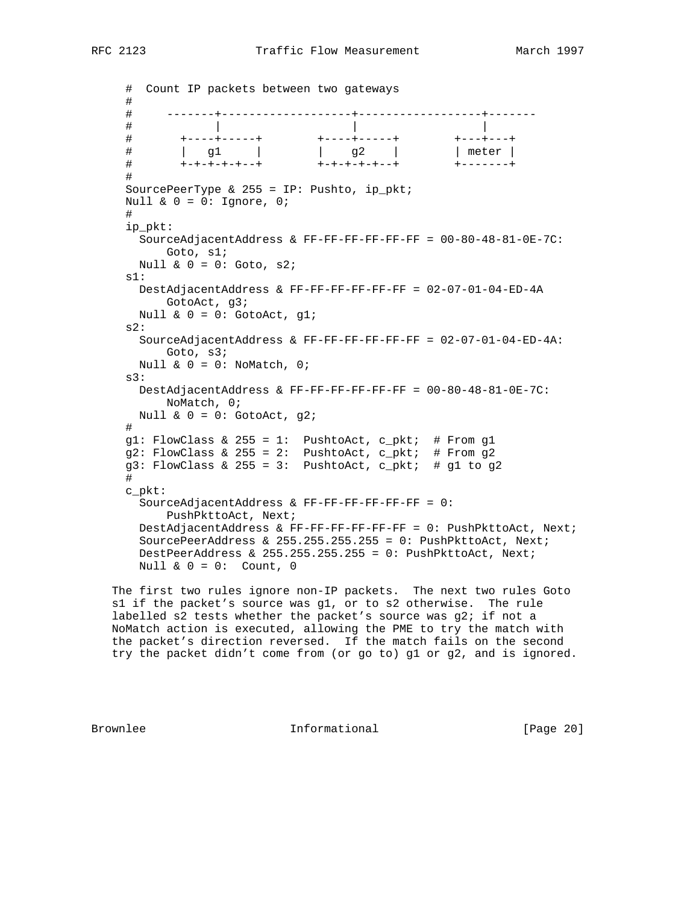```
 # Count IP packets between two gateways
     #
     # -------+-------------------+------------------+-------
 # | | |
 # +----+-----+ +----+-----+ +---+---+
 # | g1 | | g2 | | meter |
 # +-+-+-+-+--+ +-+-+-+-+--+ +-------+
     #
     SourcePeerType & 255 = IP: Pushto, ip_pkt;
    Null & 0 = 0: Ignore, 0;
     #
     ip_pkt:
      SourceAdjacentAddress & FF-FF-FF-FF-FF-FF = 00-80-48-81-0E-7C:
          Goto, s1;
     Null & 0 = 0: Goto, s2;
     s1:
      DestAdjacentAddress & FF-FF-FF-FF-FF-FF = 02-07-01-04-ED-4A
         GotoAct, g3;
     Null \& 0 = 0: GotoAct, gl;
     s2:
      SourceAdjacentAddress & FF-FF-FF-FF-FF-FF = 02-07-01-04-ED-4A:
          Goto, s3;
     Null & 0 = 0: NoMatch, 0;
     s3:
      DestAdjacentAddress & FF-FF-FF-FF-FF-FF = 00-80-48-81-0E-7C:
          NoMatch, 0;
     Null & 0 = 0: GotoAct, g2;
     #
 g1: FlowClass & 255 = 1: PushtoAct, c_pkt; # From g1
 g2: FlowClass & 255 = 2: PushtoAct, c_pkt; # From g2
    g3: FlowClass & 255 = 3: PushtoAct, c_pkt; # g1 to g2
     #
     c_pkt:
      SourceAdjacentAddress & FF-FF-FF-FF-FF-FF = 0:
          PushPkttoAct, Next;
      DestAdjacentAddress & FF-FF-FF-FF-FF-FF = 0: PushPkttoAct, Next;
      SourcePeerAddress & 255.255.255.255 = 0: PushPkttoAct, Next;
      DestPeerAddress & 255.255.255.255 = 0: PushPkttoAct, Next;
     Null \& 0 = 0: Count, 0
```
 The first two rules ignore non-IP packets. The next two rules Goto s1 if the packet's source was g1, or to s2 otherwise. The rule labelled s2 tests whether the packet's source was g2; if not a NoMatch action is executed, allowing the PME to try the match with the packet's direction reversed. If the match fails on the second try the packet didn't come from (or go to) g1 or g2, and is ignored.

Brownlee **Informational** Informational [Page 20]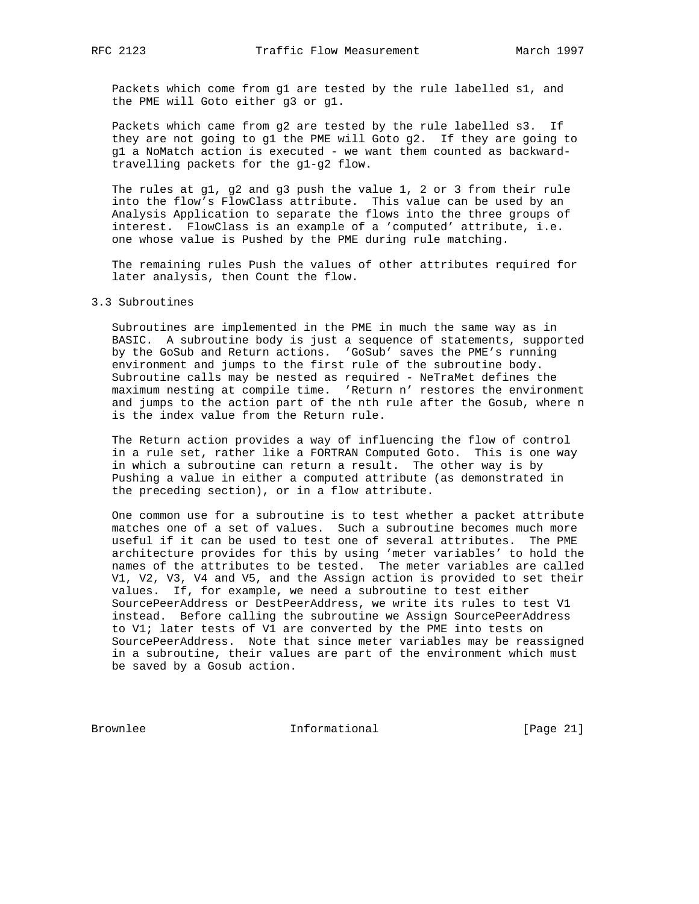Packets which come from g1 are tested by the rule labelled s1, and the PME will Goto either g3 or g1.

 Packets which came from g2 are tested by the rule labelled s3. If they are not going to g1 the PME will Goto g2. If they are going to g1 a NoMatch action is executed - we want them counted as backward travelling packets for the g1-g2 flow.

 The rules at g1, g2 and g3 push the value 1, 2 or 3 from their rule into the flow's FlowClass attribute. This value can be used by an Analysis Application to separate the flows into the three groups of interest. FlowClass is an example of a 'computed' attribute, i.e. one whose value is Pushed by the PME during rule matching.

 The remaining rules Push the values of other attributes required for later analysis, then Count the flow.

#### 3.3 Subroutines

 Subroutines are implemented in the PME in much the same way as in BASIC. A subroutine body is just a sequence of statements, supported by the GoSub and Return actions. 'GoSub' saves the PME's running environment and jumps to the first rule of the subroutine body. Subroutine calls may be nested as required - NeTraMet defines the maximum nesting at compile time. 'Return n' restores the environment and jumps to the action part of the nth rule after the Gosub, where n is the index value from the Return rule.

 The Return action provides a way of influencing the flow of control in a rule set, rather like a FORTRAN Computed Goto. This is one way in which a subroutine can return a result. The other way is by Pushing a value in either a computed attribute (as demonstrated in the preceding section), or in a flow attribute.

 One common use for a subroutine is to test whether a packet attribute matches one of a set of values. Such a subroutine becomes much more useful if it can be used to test one of several attributes. The PME architecture provides for this by using 'meter variables' to hold the names of the attributes to be tested. The meter variables are called V1, V2, V3, V4 and V5, and the Assign action is provided to set their values. If, for example, we need a subroutine to test either SourcePeerAddress or DestPeerAddress, we write its rules to test V1 instead. Before calling the subroutine we Assign SourcePeerAddress to V1; later tests of V1 are converted by the PME into tests on SourcePeerAddress. Note that since meter variables may be reassigned in a subroutine, their values are part of the environment which must be saved by a Gosub action.

Brownlee Informational [Page 21]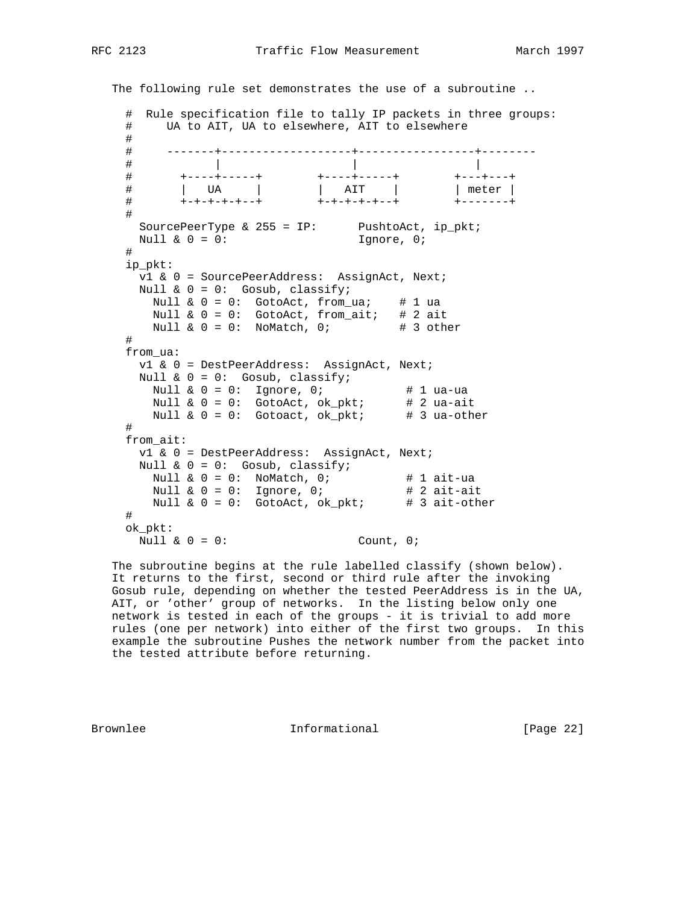```
 The following rule set demonstrates the use of a subroutine ..
    # Rule specification file to tally IP packets in three groups:
    # UA to AIT, UA to elsewhere, AIT to elsewhere
    #
    # -------+-------------------+-----------------+--------
 # | | |
 # +----+-----+ +----+-----+ +---+---+
 # | UA | | AIT | | meter |
 # +-+-+-+-+--+ +-+-+-+-+--+ +-------+
    #
SourcePeerType & 255 = IP: PushtoAct, ip_pkt;
Null & 0 = 0: 1gnore, 0;
    #
    ip_pkt:
      v1 & 0 = SourcePeerAddress: AssignAct, Next;
     Null & 0 = 0: Gosub, classify;
      Null \& 0 = 0: GotoAct, from_ua; # 1 ua
      Null \& 0 = 0: GotoAct, from_ait; # 2 ait
      Null \& 0 = 0: NoMatch, 0; # 3 other
     #
    from_ua:
      v1 & 0 = DestPeerAddress: AssignAct, Next;
Null & 0 = 0: Gosub, classify;
Null \& 0 = 0: Ignore, 0; \qquad \qquad \# 1 ua-ua
Null \& 0 = 0: GotoAct, ok_pkt; \qquad # 2 ua-ait
Null \& 0 = 0: Gotoact, ok_pkt; \qquad # 3 ua-other
     #
    from_ait:
      v1 & 0 = DestPeerAddress: AssignAct, Next;
      Null & 0 = 0: Gosub, classify;
Null \& 0 = 0: NoMatch, 0; \qquad # 1 ait-ua
Null \& 0 = 0: Ignore, 0; \qquad # 2 ait-ait
Null & 0 = 0: GotoAct, ok_pkt;  # 3 ait-other
    #
    ok_pkt:
    Null & 0 = 0: Count, 0;
```
 The subroutine begins at the rule labelled classify (shown below). It returns to the first, second or third rule after the invoking Gosub rule, depending on whether the tested PeerAddress is in the UA, AIT, or 'other' group of networks. In the listing below only one network is tested in each of the groups - it is trivial to add more rules (one per network) into either of the first two groups. In this example the subroutine Pushes the network number from the packet into the tested attribute before returning.

Brownlee **Informational** Informational [Page 22]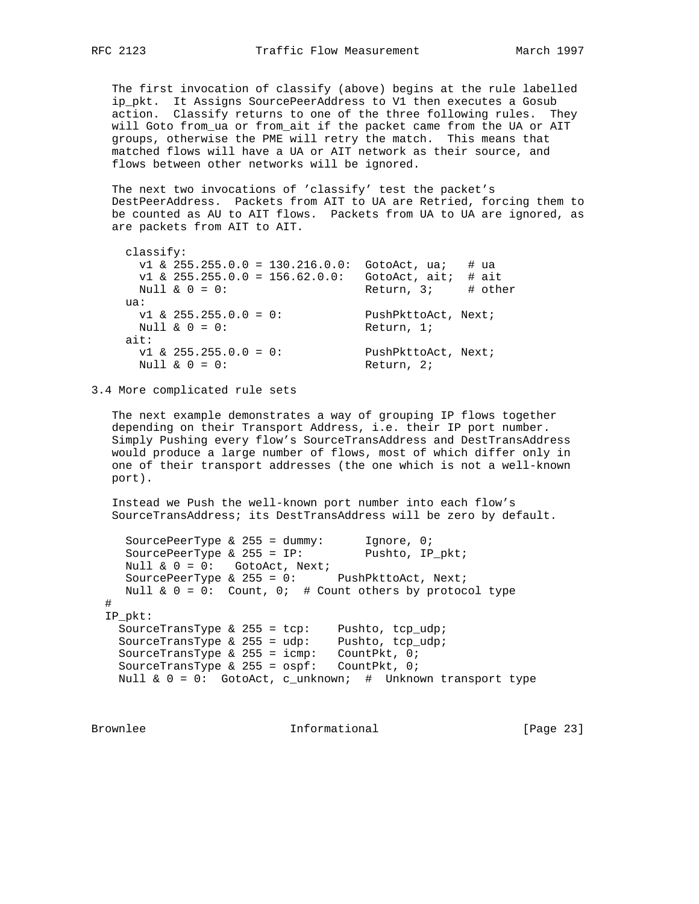The first invocation of classify (above) begins at the rule labelled ip\_pkt. It Assigns SourcePeerAddress to V1 then executes a Gosub action. Classify returns to one of the three following rules. They will Goto from\_ua or from\_ait if the packet came from the UA or AIT groups, otherwise the PME will retry the match. This means that matched flows will have a UA or AIT network as their source, and flows between other networks will be ignored.

 The next two invocations of 'classify' test the packet's DestPeerAddress. Packets from AIT to UA are Retried, forcing them to be counted as AU to AIT flows. Packets from UA to UA are ignored, as are packets from AIT to AIT.

```
 classify:
    v1 & 255.255.0.0 = 130.216.0.0: GotoAct, ua; # ua
    v1 & 255.255.0.0 = 156.62.0.0: GotoAct, ait; # ait
    Null \& 0 = 0: Return, 3; # other
    ua:
 v1 & 255.255.0.0 = 0: PushPkttoAct, Next;
Null & 0 = 0: Return, 1;
    ait:
 v1 & 255.255.0.0 = 0: PushPkttoAct, Next;
Null \& 0 = 0: Return, 2;
```
3.4 More complicated rule sets

 The next example demonstrates a way of grouping IP flows together depending on their Transport Address, i.e. their IP port number. Simply Pushing every flow's SourceTransAddress and DestTransAddress would produce a large number of flows, most of which differ only in one of their transport addresses (the one which is not a well-known port).

 Instead we Push the well-known port number into each flow's SourceTransAddress; its DestTransAddress will be zero by default.

SourcePeerType & 255 = dummy: Ignore, 0; SourcePeerType & 255 = IP: Pushto, IP\_pkt; Null & 0 = 0: GotoAct, Next; SourcePeerType & 255 = 0: PushPkttoAct, Next; Null  $\& 0 = 0$ : Count, 0; # Count others by protocol type # IP\_pkt: SourceTransType & 255 = tcp: Pushto, tcp\_udp; SourceTransType & 255 = udp: Pushto, tcp\_udp; SourceTransType & 255 = icmp: CountPkt, 0; SourceTransType & 255 = ospf: CountPkt, 0; Null  $\& 0 = 0$ : GotoAct, c\_unknown; # Unknown transport type

Brownlee **Informational** Informational [Page 23]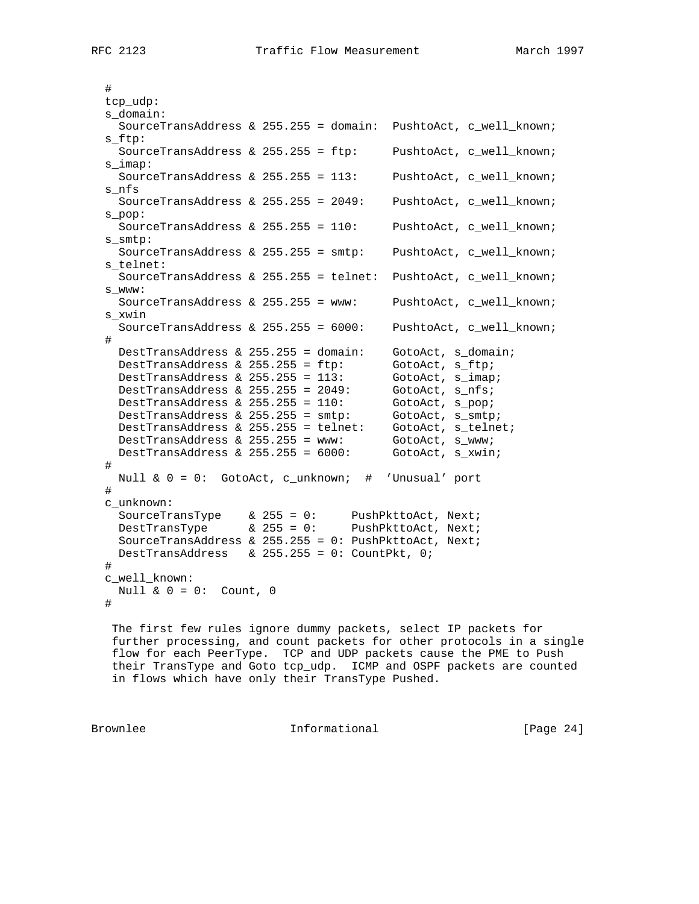# tcp\_udp: s\_domain: SourceTransAddress & 255.255 = domain: PushtoAct, c\_well\_known; s\_ftp: SourceTransAddress & 255.255 = ftp: PushtoAct, c\_well\_known; s\_imap: SourceTransAddress & 255.255 = 113: PushtoAct, c\_well\_known; s\_nfs SourceTransAddress & 255.255 = 2049: PushtoAct, c\_well\_known; s\_pop: SourceTransAddress & 255.255 = 110: PushtoAct, c\_well\_known; s\_smtp: SourceTransAddress & 255.255 = smtp: PushtoAct, c\_well\_known; s\_telnet: SourceTransAddress & 255.255 = telnet: PushtoAct, c\_well\_known; s\_www: SourceTransAddress & 255.255 = www: PushtoAct, c\_well\_known; s\_xwin SourceTransAddress & 255.255 = 6000: PushtoAct, c\_well\_known; # DestTransAddress & 255.255 = domain: GotoAct, s\_domain;<br>DestTransAddress & 255.255 = ftp: GotoAct, s\_ftp;<br>DestTransAddress & 255.255 = 113: GotoAct, s\_imap; DestTransAddress &  $255.255 = ftp$ : DestTransAddress & 255.255 = 113: GotoAct, s\_imap<br>DestTransAddress & 255.255 = 2049: GotoAct, s\_nfs; DestTransAddress &  $255.255 = 2049$ : GotoAct, s\_nfs; DestTransAddress & 255.255 = 110: GotoAct, s\_pop; DestTransAddress & 255.255 = smtp: GotoAct, s\_smtp; DestTransAddress & 255.255 = telnet: GotoAct, s\_telnet; DestTransAddress & 255.255 = www: GotoAct, s\_www; DestTransAddress & 255.255 = 6000: GotoAct, s\_xwin; # Null & 0 = 0: GotoAct, c\_unknown; # 'Unusual' port # c\_unknown: SourceTransType & 255 = 0: PushPkttoAct, Next; DestTransType  $\&$  255 = 0: PushPkttoAct, Next; SourceTransAddress & 255.255 = 0: PushPkttoAct, Next; DestTransAddress & 255.255 = 0: CountPkt, 0; # c\_well\_known: Null  $\& 0 = 0:$  Count, 0 #

 The first few rules ignore dummy packets, select IP packets for further processing, and count packets for other protocols in a single flow for each PeerType. TCP and UDP packets cause the PME to Push their TransType and Goto tcp\_udp. ICMP and OSPF packets are counted in flows which have only their TransType Pushed.

Brownlee **Informational** Informational [Page 24]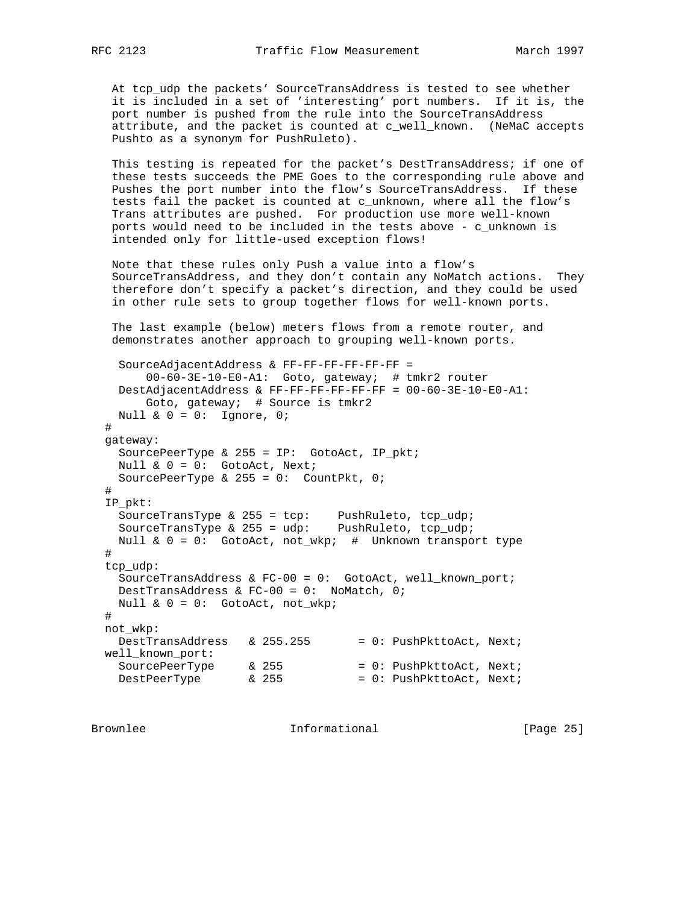At tcp\_udp the packets' SourceTransAddress is tested to see whether it is included in a set of 'interesting' port numbers. If it is, the port number is pushed from the rule into the SourceTransAddress attribute, and the packet is counted at c\_well\_known. (NeMaC accepts Pushto as a synonym for PushRuleto).

 This testing is repeated for the packet's DestTransAddress; if one of these tests succeeds the PME Goes to the corresponding rule above and Pushes the port number into the flow's SourceTransAddress. If these tests fail the packet is counted at c\_unknown, where all the flow's Trans attributes are pushed. For production use more well-known ports would need to be included in the tests above - c\_unknown is intended only for little-used exception flows!

 Note that these rules only Push a value into a flow's SourceTransAddress, and they don't contain any NoMatch actions. They therefore don't specify a packet's direction, and they could be used in other rule sets to group together flows for well-known ports.

 The last example (below) meters flows from a remote router, and demonstrates another approach to grouping well-known ports.

```
 SourceAdjacentAddress & FF-FF-FF-FF-FF-FF =
        00-60-3E-10-E0-A1: Goto, gateway; # tmkr2 router
    DestAdjacentAddress & FF-FF-FF-FF-FF-FF = 00-60-3E-10-E0-A1:
        Goto, gateway; # Source is tmkr2
   Null \& 0 = 0: Ignore, 0;
  #
  gateway:
    SourcePeerType & 255 = IP: GotoAct, IP_pkt;
    Null & 0 = 0: GotoAct, Next;
   SourcePeerType \& 255 = 0: CountPkt, 0;
  #
  IP_pkt:
SourceTransType & 255 = tcp: PushRuleto, tcp_udp;
SourceTransType & 255 = udp: PushRuleto, tcp_udp;
    Null & 0 = 0: GotoAct, not_wkp; # Unknown transport type
  #
  tcp_udp:
    SourceTransAddress & FC-00 = 0: GotoAct, well_known_port;
    DestTransAddress & FC-00 = 0: NoMatch, 0;
    Null & 0 = 0: GotoAct, not_wkp;
  #
  not_wkp:
   DestTransAddress \& 255.255 = 0: PushPkttoAct, Next; well_known_port:
SourcePeerType & 255 = 0: PushPkttoAct, Next;
DestPeerType \& 255 \qquad \qquad = 0: \text{ PushPkttoAct}, \text{ Next};
```
Brownlee **Informational** Informational [Page 25]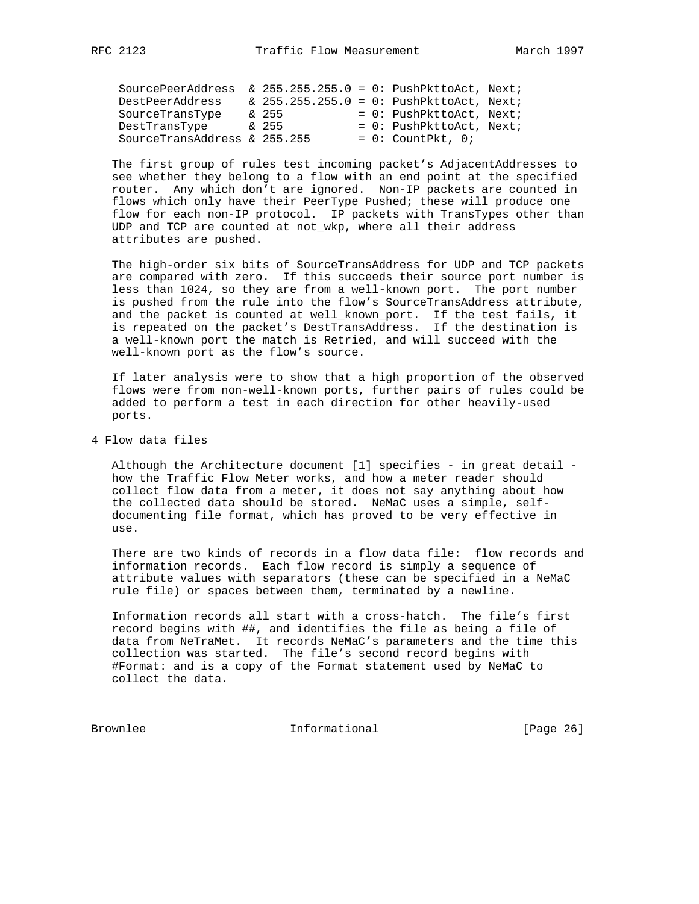| SourcePeerAddress            | $\&$ 255.255.255.0 = 0: PushPkttoAct, Next; |  |                             |  |
|------------------------------|---------------------------------------------|--|-----------------------------|--|
| DestPeerAddress              | $\&$ 255.255.255.0 = 0: PushPkttoAct, Next; |  |                             |  |
| SourceTransType              | & 255                                       |  | $= 0$ : PushPkttoAct, Next; |  |
| DestTransType                | & 255                                       |  | $= 0$ : PushPkttoAct, Next; |  |
| SourceTransAddress & 255.255 |                                             |  | $= 0$ : CountPkt, 0;        |  |

 The first group of rules test incoming packet's AdjacentAddresses to see whether they belong to a flow with an end point at the specified router. Any which don't are ignored. Non-IP packets are counted in flows which only have their PeerType Pushed; these will produce one flow for each non-IP protocol. IP packets with TransTypes other than UDP and TCP are counted at not\_wkp, where all their address attributes are pushed.

 The high-order six bits of SourceTransAddress for UDP and TCP packets are compared with zero. If this succeeds their source port number is less than 1024, so they are from a well-known port. The port number is pushed from the rule into the flow's SourceTransAddress attribute, and the packet is counted at well\_known\_port. If the test fails, it is repeated on the packet's DestTransAddress. If the destination is a well-known port the match is Retried, and will succeed with the well-known port as the flow's source.

 If later analysis were to show that a high proportion of the observed flows were from non-well-known ports, further pairs of rules could be added to perform a test in each direction for other heavily-used ports.

4 Flow data files

 Although the Architecture document [1] specifies - in great detail how the Traffic Flow Meter works, and how a meter reader should collect flow data from a meter, it does not say anything about how the collected data should be stored. NeMaC uses a simple, self documenting file format, which has proved to be very effective in use.

 There are two kinds of records in a flow data file: flow records and information records. Each flow record is simply a sequence of attribute values with separators (these can be specified in a NeMaC rule file) or spaces between them, terminated by a newline.

 Information records all start with a cross-hatch. The file's first record begins with ##, and identifies the file as being a file of data from NeTraMet. It records NeMaC's parameters and the time this collection was started. The file's second record begins with #Format: and is a copy of the Format statement used by NeMaC to collect the data.

Brownlee Informational [Page 26]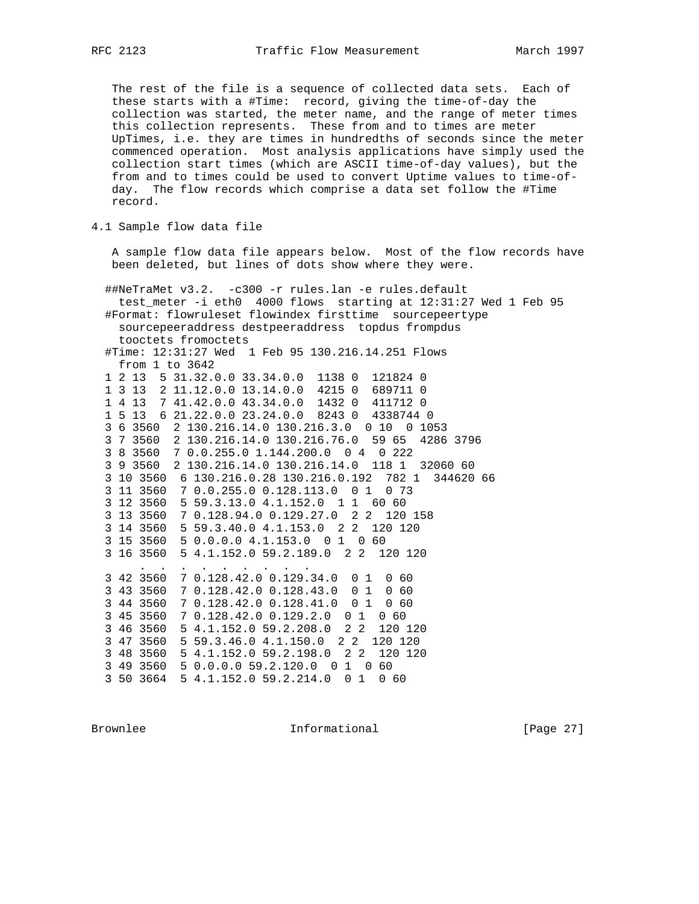The rest of the file is a sequence of collected data sets. Each of these starts with a #Time: record, giving the time-of-day the collection was started, the meter name, and the range of meter times this collection represents. These from and to times are meter UpTimes, i.e. they are times in hundredths of seconds since the meter commenced operation. Most analysis applications have simply used the collection start times (which are ASCII time-of-day values), but the from and to times could be used to convert Uptime values to time-of day. The flow records which comprise a data set follow the #Time record.

4.1 Sample flow data file

 A sample flow data file appears below. Most of the flow records have been deleted, but lines of dots show where they were.

 ##NeTraMet v3.2. -c300 -r rules.lan -e rules.default test\_meter -i eth0 4000 flows starting at 12:31:27 Wed 1 Feb 95 #Format: flowruleset flowindex firsttime sourcepeertype sourcepeeraddress destpeeraddress topdus frompdus tooctets fromoctets #Time: 12:31:27 Wed 1 Feb 95 130.216.14.251 Flows from 1 to 3642 1 2 13 5 31.32.0.0 33.34.0.0 1138 0 121824 0 1 3 13 2 11.12.0.0 13.14.0.0 4215 0 689711 0 1 4 13 7 41.42.0.0 43.34.0.0 1432 0 411712 0 1 5 13 6 21.22.0.0 23.24.0.0 8243 0 4338744 0 3 6 3560 2 130.216.14.0 130.216.3.0 0 10 0 1053 3 7 3560 2 130.216.14.0 130.216.76.0 59 65 4286 3796 3 8 3560 7 0.0.255.0 1.144.200.0 0 4 0 222 3 9 3560 2 130.216.14.0 130.216.14.0 118 1 32060 60 3 10 3560 6 130.216.0.28 130.216.0.192 782 1 344620 66 3 11 3560 7 0.0.255.0 0.128.113.0 0 1 0 73 3 12 3560 5 59.3.13.0 4.1.152.0 1 1 60 60 3 13 3560 7 0.128.94.0 0.129.27.0 2 2 120 158 3 14 3560 5 59.3.40.0 4.1.153.0 2 2 120 120 3 15 3560 5 0.0.0.0 4.1.153.0 0 1 0 60 3 16 3560 5 4.1.152.0 59.2.189.0 2 2 120 120 . . . . . . . . . 3 42 3560 7 0.128.42.0 0.129.34.0 0 1 0 60 3 43 3560 7 0.128.42.0 0.128.43.0 0 1 0 60 3 44 3560 7 0.128.42.0 0.128.41.0 0 1 0 60 3 45 3560 7 0.128.42.0 0.129.2.0 0 1 0 60 3 46 3560 5 4.1.152.0 59.2.208.0 2 2 120 120 3 47 3560 5 59.3.46.0 4.1.150.0 2 2 120 120 3 48 3560 5 4.1.152.0 59.2.198.0 2 2 120 120 3 49 3560 5 0.0.0.0 59.2.120.0 0 1 0 60 3 50 3664 5 4.1.152.0 59.2.214.0 0 1 0 60

Brownlee **Informational** Informational [Page 27]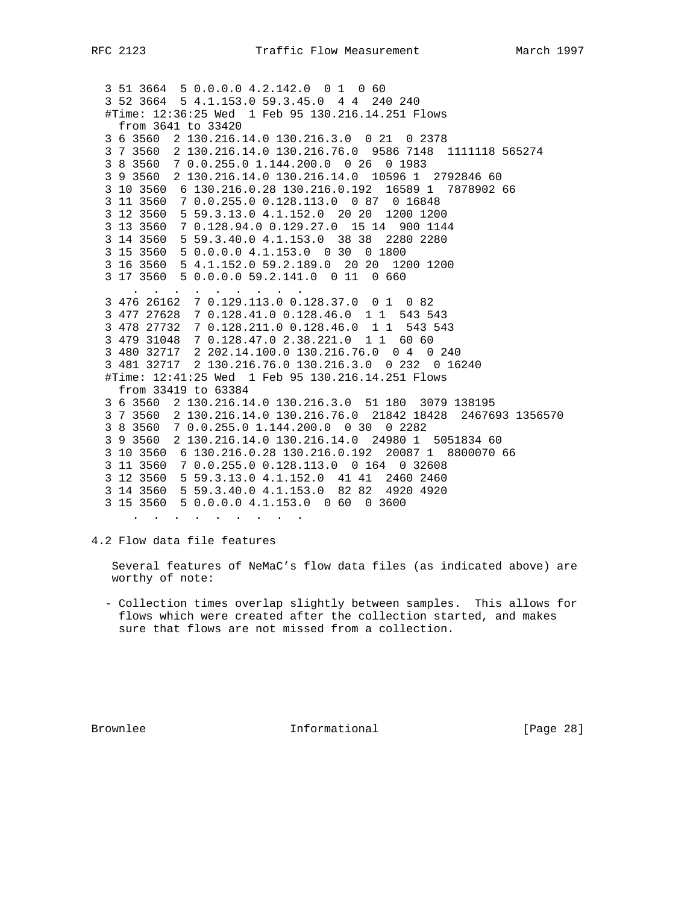```
 3 51 3664 5 0.0.0.0 4.2.142.0 0 1 0 60
  3 52 3664 5 4.1.153.0 59.3.45.0 4 4 240 240
  #Time: 12:36:25 Wed 1 Feb 95 130.216.14.251 Flows
   from 3641 to 33420
  3 6 3560 2 130.216.14.0 130.216.3.0 0 21 0 2378
  3 7 3560 2 130.216.14.0 130.216.76.0 9586 7148 1111118 565274
  3 8 3560 7 0.0.255.0 1.144.200.0 0 26 0 1983
  3 9 3560 2 130.216.14.0 130.216.14.0 10596 1 2792846 60
  3 10 3560 6 130.216.0.28 130.216.0.192 16589 1 7878902 66
  3 11 3560 7 0.0.255.0 0.128.113.0 0 87 0 16848
  3 12 3560 5 59.3.13.0 4.1.152.0 20 20 1200 1200
  3 13 3560 7 0.128.94.0 0.129.27.0 15 14 900 1144
  3 14 3560 5 59.3.40.0 4.1.153.0 38 38 2280 2280
  3 15 3560 5 0.0.0.0 4.1.153.0 0 30 0 1800
  3 16 3560 5 4.1.152.0 59.2.189.0 20 20 1200 1200
  3 17 3560 5 0.0.0.0 59.2.141.0 0 11 0 660
 . . . . . . . . .
 3 476 26162 7 0.129.113.0 0.128.37.0 0 1 0 82
  3 477 27628 7 0.128.41.0 0.128.46.0 1 1 543 543
  3 478 27732 7 0.128.211.0 0.128.46.0 1 1 543 543
  3 479 31048 7 0.128.47.0 2.38.221.0 1 1 60 60
  3 480 32717 2 202.14.100.0 130.216.76.0 0 4 0 240
  3 481 32717 2 130.216.76.0 130.216.3.0 0 232 0 16240
  #Time: 12:41:25 Wed 1 Feb 95 130.216.14.251 Flows
   from 33419 to 63384
  3 6 3560 2 130.216.14.0 130.216.3.0 51 180 3079 138195
  3 7 3560 2 130.216.14.0 130.216.76.0 21842 18428 2467693 1356570
  3 8 3560 7 0.0.255.0 1.144.200.0 0 30 0 2282
  3 9 3560 2 130.216.14.0 130.216.14.0 24980 1 5051834 60
  3 10 3560 6 130.216.0.28 130.216.0.192 20087 1 8800070 66
  3 11 3560 7 0.0.255.0 0.128.113.0 0 164 0 32608
  3 12 3560 5 59.3.13.0 4.1.152.0 41 41 2460 2460
  3 14 3560 5 59.3.40.0 4.1.153.0 82 82 4920 4920
  3 15 3560 5 0.0.0.0 4.1.153.0 0 60 0 3600
 . . . . . . . . .
```
4.2 Flow data file features

 Several features of NeMaC's flow data files (as indicated above) are worthy of note:

 - Collection times overlap slightly between samples. This allows for flows which were created after the collection started, and makes sure that flows are not missed from a collection.

Brownlee **Informational** Informational [Page 28]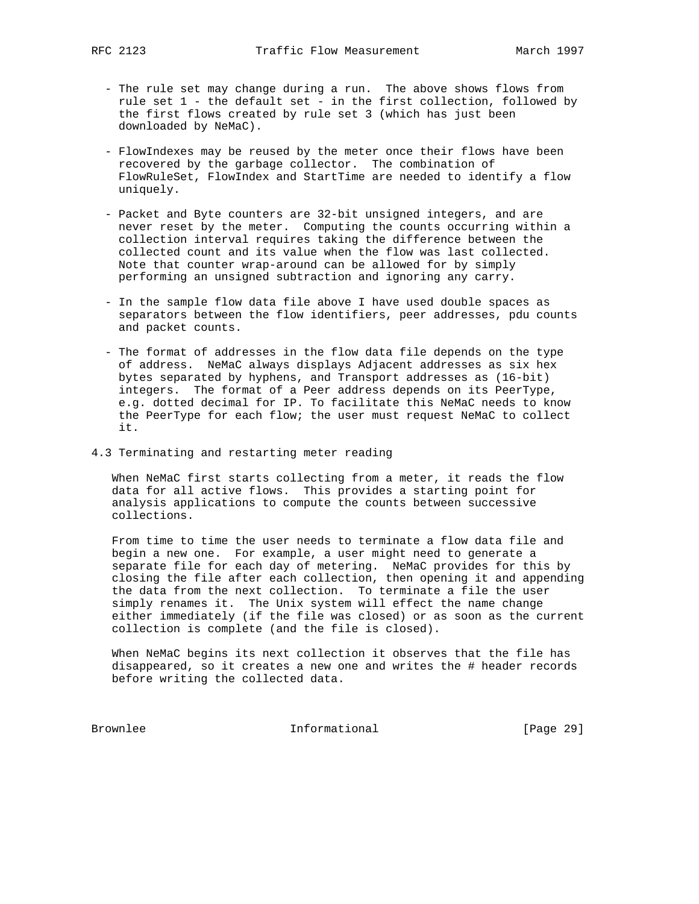- The rule set may change during a run. The above shows flows from rule set 1 - the default set - in the first collection, followed by the first flows created by rule set 3 (which has just been downloaded by NeMaC).
- FlowIndexes may be reused by the meter once their flows have been recovered by the garbage collector. The combination of FlowRuleSet, FlowIndex and StartTime are needed to identify a flow uniquely.
- Packet and Byte counters are 32-bit unsigned integers, and are never reset by the meter. Computing the counts occurring within a collection interval requires taking the difference between the collected count and its value when the flow was last collected. Note that counter wrap-around can be allowed for by simply performing an unsigned subtraction and ignoring any carry.
- In the sample flow data file above I have used double spaces as separators between the flow identifiers, peer addresses, pdu counts and packet counts.
- The format of addresses in the flow data file depends on the type of address. NeMaC always displays Adjacent addresses as six hex bytes separated by hyphens, and Transport addresses as (16-bit) integers. The format of a Peer address depends on its PeerType, e.g. dotted decimal for IP. To facilitate this NeMaC needs to know the PeerType for each flow; the user must request NeMaC to collect it.
- 4.3 Terminating and restarting meter reading

 When NeMaC first starts collecting from a meter, it reads the flow data for all active flows. This provides a starting point for analysis applications to compute the counts between successive collections.

 From time to time the user needs to terminate a flow data file and begin a new one. For example, a user might need to generate a separate file for each day of metering. NeMaC provides for this by closing the file after each collection, then opening it and appending the data from the next collection. To terminate a file the user simply renames it. The Unix system will effect the name change either immediately (if the file was closed) or as soon as the current collection is complete (and the file is closed).

 When NeMaC begins its next collection it observes that the file has disappeared, so it creates a new one and writes the # header records before writing the collected data.

Brownlee Informational [Page 29]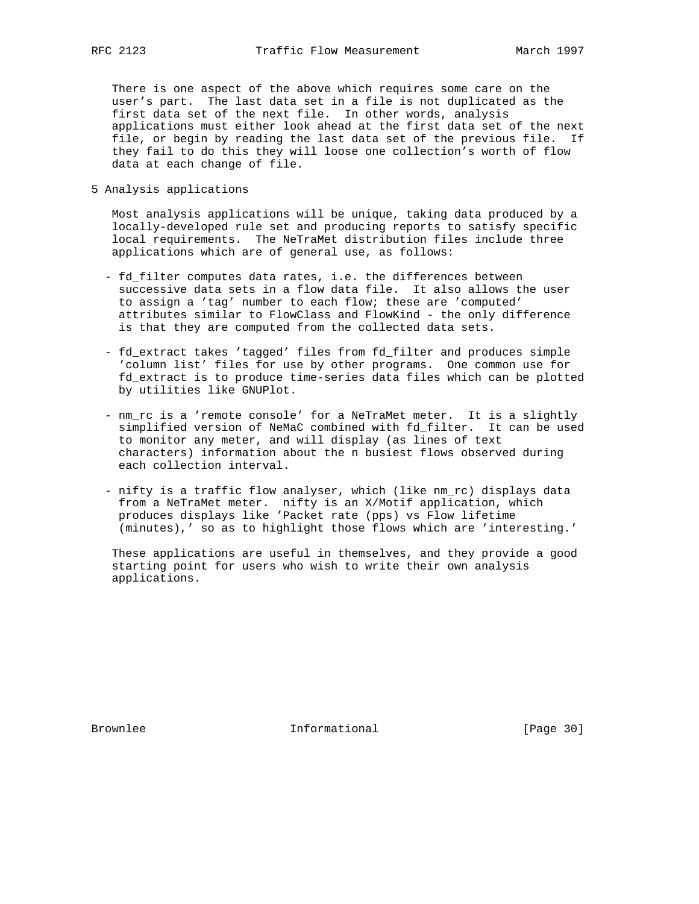There is one aspect of the above which requires some care on the user's part. The last data set in a file is not duplicated as the first data set of the next file. In other words, analysis applications must either look ahead at the first data set of the next file, or begin by reading the last data set of the previous file. If they fail to do this they will loose one collection's worth of flow data at each change of file.

5 Analysis applications

 Most analysis applications will be unique, taking data produced by a locally-developed rule set and producing reports to satisfy specific local requirements. The NeTraMet distribution files include three applications which are of general use, as follows:

- fd\_filter computes data rates, i.e. the differences between successive data sets in a flow data file. It also allows the user to assign a 'tag' number to each flow; these are 'computed' attributes similar to FlowClass and FlowKind - the only difference is that they are computed from the collected data sets.
- fd\_extract takes 'tagged' files from fd\_filter and produces simple 'column list' files for use by other programs. One common use for fd\_extract is to produce time-series data files which can be plotted by utilities like GNUPlot.
- nm\_rc is a 'remote console' for a NeTraMet meter. It is a slightly simplified version of NeMaC combined with fd\_filter. It can be used to monitor any meter, and will display (as lines of text characters) information about the n busiest flows observed during each collection interval.
- nifty is a traffic flow analyser, which (like nm\_rc) displays data from a NeTraMet meter. nifty is an X/Motif application, which produces displays like 'Packet rate (pps) vs Flow lifetime (minutes),' so as to highlight those flows which are 'interesting.'

 These applications are useful in themselves, and they provide a good starting point for users who wish to write their own analysis applications.

Brownlee **Informational** Informational [Page 30]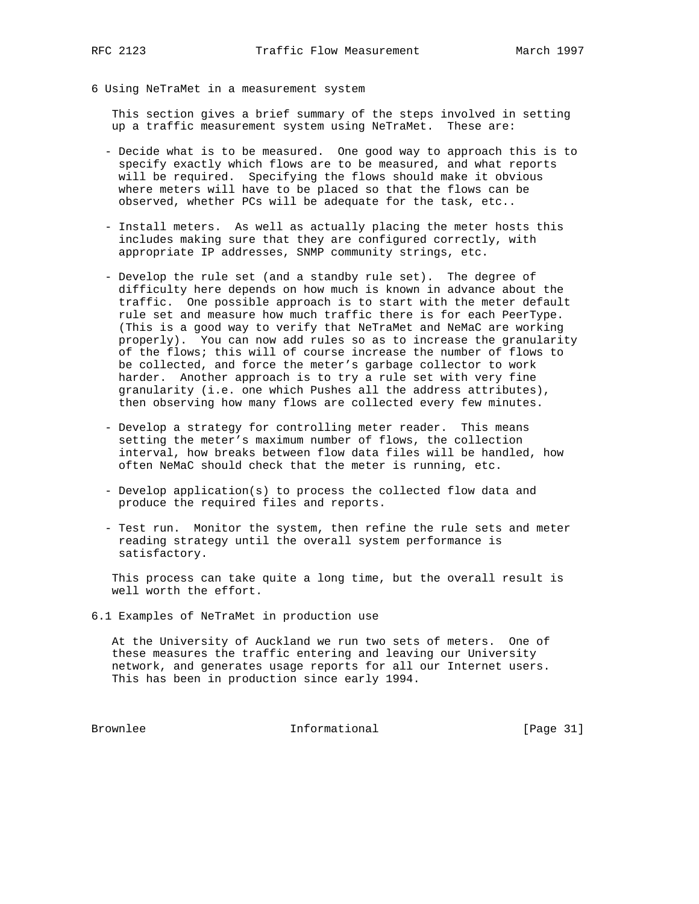- 
- 6 Using NeTraMet in a measurement system

 This section gives a brief summary of the steps involved in setting up a traffic measurement system using NeTraMet. These are:

- Decide what is to be measured. One good way to approach this is to specify exactly which flows are to be measured, and what reports will be required. Specifying the flows should make it obvious where meters will have to be placed so that the flows can be observed, whether PCs will be adequate for the task, etc..
- Install meters. As well as actually placing the meter hosts this includes making sure that they are configured correctly, with appropriate IP addresses, SNMP community strings, etc.
- Develop the rule set (and a standby rule set). The degree of difficulty here depends on how much is known in advance about the traffic. One possible approach is to start with the meter default rule set and measure how much traffic there is for each PeerType. (This is a good way to verify that NeTraMet and NeMaC are working properly). You can now add rules so as to increase the granularity of the flows; this will of course increase the number of flows to be collected, and force the meter's garbage collector to work harder. Another approach is to try a rule set with very fine granularity (i.e. one which Pushes all the address attributes), then observing how many flows are collected every few minutes.
- Develop a strategy for controlling meter reader. This means setting the meter's maximum number of flows, the collection interval, how breaks between flow data files will be handled, how often NeMaC should check that the meter is running, etc.
- Develop application(s) to process the collected flow data and produce the required files and reports.
- Test run. Monitor the system, then refine the rule sets and meter reading strategy until the overall system performance is satisfactory.

 This process can take quite a long time, but the overall result is well worth the effort.

6.1 Examples of NeTraMet in production use

 At the University of Auckland we run two sets of meters. One of these measures the traffic entering and leaving our University network, and generates usage reports for all our Internet users. This has been in production since early 1994.

Brownlee 10 Informational 100 Informational [Page 31]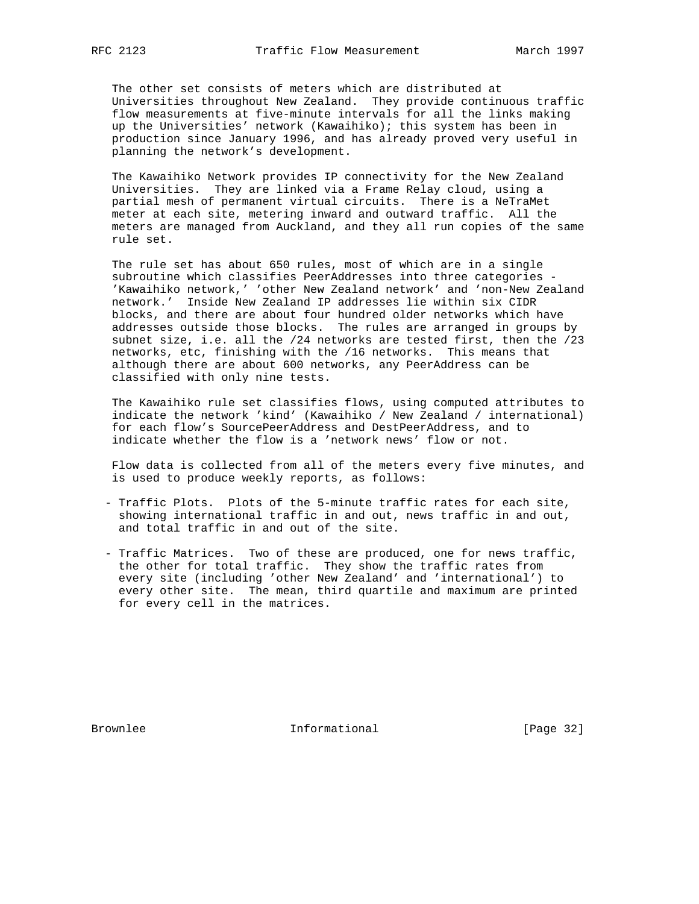The other set consists of meters which are distributed at Universities throughout New Zealand. They provide continuous traffic flow measurements at five-minute intervals for all the links making up the Universities' network (Kawaihiko); this system has been in production since January 1996, and has already proved very useful in planning the network's development.

 The Kawaihiko Network provides IP connectivity for the New Zealand Universities. They are linked via a Frame Relay cloud, using a partial mesh of permanent virtual circuits. There is a NeTraMet meter at each site, metering inward and outward traffic. All the meters are managed from Auckland, and they all run copies of the same rule set.

 The rule set has about 650 rules, most of which are in a single subroutine which classifies PeerAddresses into three categories - 'Kawaihiko network,' 'other New Zealand network' and 'non-New Zealand network.' Inside New Zealand IP addresses lie within six CIDR blocks, and there are about four hundred older networks which have addresses outside those blocks. The rules are arranged in groups by subnet size, i.e. all the /24 networks are tested first, then the /23 networks, etc, finishing with the /16 networks. This means that although there are about 600 networks, any PeerAddress can be classified with only nine tests.

 The Kawaihiko rule set classifies flows, using computed attributes to indicate the network 'kind' (Kawaihiko / New Zealand / international) for each flow's SourcePeerAddress and DestPeerAddress, and to indicate whether the flow is a 'network news' flow or not.

 Flow data is collected from all of the meters every five minutes, and is used to produce weekly reports, as follows:

- Traffic Plots. Plots of the 5-minute traffic rates for each site, showing international traffic in and out, news traffic in and out, and total traffic in and out of the site.
- Traffic Matrices. Two of these are produced, one for news traffic, the other for total traffic. They show the traffic rates from every site (including 'other New Zealand' and 'international') to every other site. The mean, third quartile and maximum are printed for every cell in the matrices.

Brownlee **Informational** [Page 32]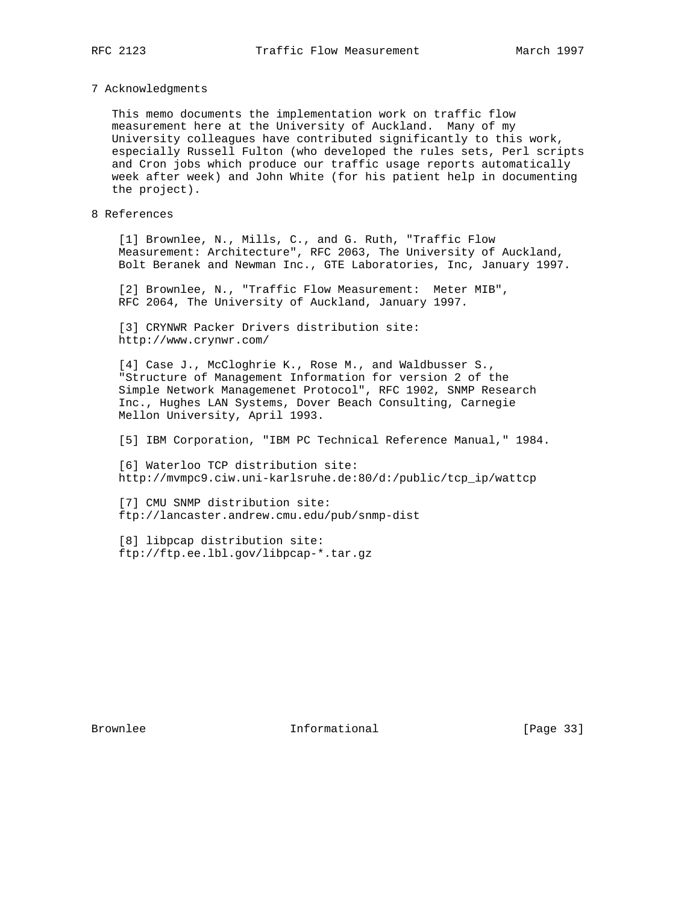#### 7 Acknowledgments

 This memo documents the implementation work on traffic flow measurement here at the University of Auckland. Many of my University colleagues have contributed significantly to this work, especially Russell Fulton (who developed the rules sets, Perl scripts and Cron jobs which produce our traffic usage reports automatically week after week) and John White (for his patient help in documenting the project).

# 8 References

 [1] Brownlee, N., Mills, C., and G. Ruth, "Traffic Flow Measurement: Architecture", RFC 2063, The University of Auckland, Bolt Beranek and Newman Inc., GTE Laboratories, Inc, January 1997.

 [2] Brownlee, N., "Traffic Flow Measurement: Meter MIB", RFC 2064, The University of Auckland, January 1997.

 [3] CRYNWR Packer Drivers distribution site: http://www.crynwr.com/

 [4] Case J., McCloghrie K., Rose M., and Waldbusser S., "Structure of Management Information for version 2 of the Simple Network Managemenet Protocol", RFC 1902, SNMP Research Inc., Hughes LAN Systems, Dover Beach Consulting, Carnegie Mellon University, April 1993.

[5] IBM Corporation, "IBM PC Technical Reference Manual," 1984.

 [6] Waterloo TCP distribution site: http://mvmpc9.ciw.uni-karlsruhe.de:80/d:/public/tcp\_ip/wattcp

 [7] CMU SNMP distribution site: ftp://lancaster.andrew.cmu.edu/pub/snmp-dist

 [8] libpcap distribution site: ftp://ftp.ee.lbl.gov/libpcap-\*.tar.gz

Brownlee **Informational** Informational [Page 33]